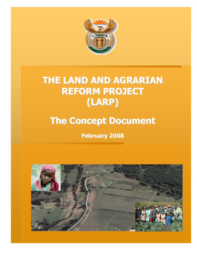

# THE LAND AND AGRARIAN REFORM PROJECT (LARP)

# The Concept Document

February 2008



1<br>11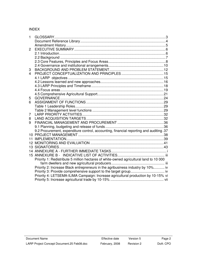#### INDEX

| 9.2 Procurement, expenditure control, accounting, financial reporting and auditing. 37<br>Priority 1: Redistribute 5 million hectares of white-owned agricultural land to 10 000<br>Priority 2: Increase Black entrepreneurs in the agribusiness industry by 10% iv<br>Priority 4: LETSEMA-ILIMA Campaign: Increase agricultural production by 10-15% vi |
|----------------------------------------------------------------------------------------------------------------------------------------------------------------------------------------------------------------------------------------------------------------------------------------------------------------------------------------------------------|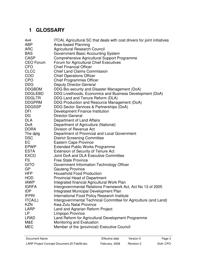# **1 GLOSSARY**

| 4x4              | <b>ITCAL Agricultural SC that deals with cost drivers for joint initiatives</b> |  |  |  |  |
|------------------|---------------------------------------------------------------------------------|--|--|--|--|
| <b>ABP</b>       | Area-based Planning                                                             |  |  |  |  |
| <b>ARC</b>       | <b>Agricultural Research Council</b>                                            |  |  |  |  |
| <b>BAS</b>       | Government Basic Accounting System                                              |  |  |  |  |
| <b>CASP</b>      | Comprehensive Agricultural Support Programme                                    |  |  |  |  |
| <b>CEO Forum</b> | Forum for Agricultural Chief Executives                                         |  |  |  |  |
| <b>CFO</b>       | <b>Chief Financial Officer</b>                                                  |  |  |  |  |
| <b>CLCC</b>      | <b>Chief Land Claims Commission</b>                                             |  |  |  |  |
| <b>COO</b>       | <b>Chief Operations Officer</b>                                                 |  |  |  |  |
| <b>CPO</b>       | <b>Chief Programmes Officer</b>                                                 |  |  |  |  |
| <b>DDG</b>       | <b>Deputy Director-General</b>                                                  |  |  |  |  |
| <b>DDGBDM</b>    | DDG Bio-security and Disaster Management (DoA)                                  |  |  |  |  |
| <b>DDGLEBD</b>   | DDG Livelihoods, Economics and Business Development (DoA)                       |  |  |  |  |
| <b>DDGLTR</b>    | DDG Land and Tenure Reform (DLA)                                                |  |  |  |  |
| <b>DDGPRM</b>    | DDG Production and Resource Management (DoA)                                    |  |  |  |  |
| <b>DDGSSP</b>    | DDG Sector Services & Partnerships (DoA)                                        |  |  |  |  |
| DFI              | Development Finance Institution                                                 |  |  |  |  |
| DG               | Director-General                                                                |  |  |  |  |
| <b>DLA</b>       | Department of Land Affairs                                                      |  |  |  |  |
| DoA              | Department of Agriculture (National)                                            |  |  |  |  |
| <b>DORA</b>      | Division of Revenue Act                                                         |  |  |  |  |
| The dplg         | Department of Provincial and Local Government                                   |  |  |  |  |
| <b>DSC</b>       | <b>District Screening Committee</b>                                             |  |  |  |  |
| EC               | <b>Eastern Cape Province</b>                                                    |  |  |  |  |
| <b>EPWP</b>      | <b>Extended Public Works Programme</b>                                          |  |  |  |  |
| <b>ESTA</b>      | <b>Extension of Security of Tenure Act</b>                                      |  |  |  |  |
| <b>EXCO</b>      | Joint DoA and DLA Executive Committee                                           |  |  |  |  |
| FS               | <b>Free State Province</b>                                                      |  |  |  |  |
| <b>GITO</b>      | Government Information Technology Officer                                       |  |  |  |  |
| <b>GP</b>        | <b>Gauteng Province</b>                                                         |  |  |  |  |
| <b>HFP</b>       | <b>Household Food Production</b>                                                |  |  |  |  |
| <b>HOD</b>       | Provincial Head of Department                                                   |  |  |  |  |
| <b>IAWP</b>      | Integrated financial Agricultural Work Plan                                     |  |  |  |  |
| <b>IGRFA</b>     | Intergovernmental Relations Framework Act, Act No 13 of 2005                    |  |  |  |  |
| <b>IDP</b>       | Integrated Municipal Development Plan                                           |  |  |  |  |
| <b>IFPRI</b>     | International Food Policy Research Institute                                    |  |  |  |  |
| ITCA(L)          | Intergovernmental Technical Committee for Agriculture (and Land)                |  |  |  |  |
| <b>KZN</b>       | <b>Kwa-Zulu Natal Province</b>                                                  |  |  |  |  |
| <b>LARP</b>      | Land and Agrarian Reform Project                                                |  |  |  |  |
| LP               | Limpopo Province                                                                |  |  |  |  |
| <b>LRAD</b>      | Land Reform for Agricultural Development Programme                              |  |  |  |  |
| M&E              | Monitoring and Evaluation                                                       |  |  |  |  |
| <b>MEC</b>       | Member of the (provincial) Executive Council                                    |  |  |  |  |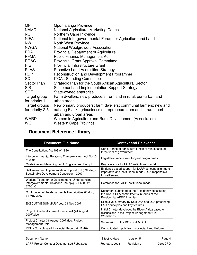| <b>MP</b>        | Mpumalanga Province                                                                         |
|------------------|---------------------------------------------------------------------------------------------|
| <b>NAMC</b>      | National Agricultural Marketing Council                                                     |
| <b>NC</b>        | <b>Northern Cape Province</b>                                                               |
| NIFAL            | National Intergovernmental Forum for Agriculture and Land                                   |
| <b>NW</b>        | <b>North West Province</b>                                                                  |
| <b>NWGA</b>      | <b>National Woolgrowers Association</b>                                                     |
| <b>PDA</b>       | <b>Provincial Department of Agriculture</b>                                                 |
| <b>PFMA</b>      | <b>Public Finance Management Act</b>                                                        |
| <b>PGAC</b>      | Provincial Grant Approval Committee                                                         |
| <b>PIG</b>       | <b>Provincial Infrastructure Grant</b>                                                      |
| <b>PLAS</b>      | <b>Proactive Land Acquisition Strategy</b>                                                  |
| <b>RDP</b>       | Reconstruction and Development Programme                                                    |
| <b>SC</b>        | <b>ITCAL Standing Committee</b>                                                             |
| Sector Plan      | Strategic Plan for the South African Agricultural Sector                                    |
| <b>SIS</b>       | Settlement and Implementation Support Strategy                                              |
| <b>SOE</b>       | State-owned enterprise                                                                      |
| Target group     | Farm dwellers; new producers from and in rural, peri-urban and                              |
| for priority 1   | urban areas                                                                                 |
| Target groups    | New primary producers; farm dwellers; communal farmers; new and                             |
| for priority 2-5 | existing Black agribusiness entrepreneurs from and in rural, peri-<br>urban and urban areas |
| WARD             | Women in Agriculture and Rural Development (Association)                                    |
| <b>WC</b>        | <b>Western Cape Province</b>                                                                |
|                  |                                                                                             |

# **Document Reference Library**

| <b>Document File Name</b>                                                                                        | <b>Context and Relevance</b>                                                                                                          |
|------------------------------------------------------------------------------------------------------------------|---------------------------------------------------------------------------------------------------------------------------------------|
| The Constitution, Act 108 of 1996                                                                                | Concurrence of agriculture function; relationship of<br>three tiers of government                                                     |
| Intergovernmental Relations Framework Act, Act No 13<br>of 2005                                                  | Legislative imperatives for joint programmes                                                                                          |
| Guidelines on Managing Joint Programmes, the dplg                                                                | Key reference for LARP Institutional model                                                                                            |
| Settlement and Implementation Support (SIS) Strategy,<br>Sustainable Development Consortium, 2007                | Evidence based support for LARP concept, alignment<br>imperative and institutional model. DLA responsible<br>for settlement.          |
| Working Together for Development- Understanding<br>Intergovernmental Relations, the dplg, ISBN 0-621-<br>37001-0 | Reference for LARP Institutional model                                                                                                |
| Contribution of the departments five priorities 01 doc,<br>31 May 2007                                           | Document submitted to the Presidency constituting<br>the DoA & DLA commitments in terms of the<br><b>Presidential APEX Priorities</b> |
| EXECUTIVE SUMMARY.doc, 21 Nov 2007                                                                               | Executive summary by DGs DoA and DLA presenting<br>LARP principles and key features                                                   |
| Project Charter document - version 4 (24 August)<br>2007).doc                                                    | Initial Charter developed by Bigen Africa based on<br>discussions in the Project Management Unit<br>Workshops                         |
| Project Charter 31 August 2007.doc, Project<br>Management Unit                                                   | Submission to the DGs DoA & DLA                                                                                                       |
| PMU - Consolidated Provincial Report v2(12-10-                                                                   | Consolidated inputs from provincial Land Reform                                                                                       |

| Document Name                              | Effective date | Version 5  | Page 4   |
|--------------------------------------------|----------------|------------|----------|
| LARP Project Concept Document.25 Feb08.doc | February, 2008 | Revision 2 | DoA: CPO |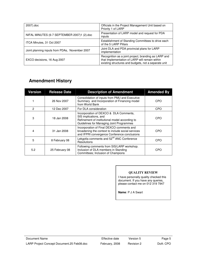| 2007).doc                                      | Officials in the Project Management Unit based on<br>Priority 1 of LARP                                                                                        |
|------------------------------------------------|----------------------------------------------------------------------------------------------------------------------------------------------------------------|
| NIFAL MINUTES (6-7 SEPTEMBER 2007)1 (2).doc    | Presentation of LARP model and request for PDA<br>inputs                                                                                                       |
| ITCA Minutes, 31 Oct 2007                      | Establishment of Standing Committees to drive each<br>of the 5 LARP Pillars                                                                                    |
| Joint planning inputs from PDAs, November 2007 | Joint DLA and PDA provincial plans for LARP<br>implementation                                                                                                  |
| EXCO decisions, 16 Aug 2007                    | Recognition as a joint project, branding as LARP and<br>that Implementation of LARP will remain within<br>existing structures and budgets, not a separate unit |

## **Amendment History**

| Version        | <b>Release Date</b> | <b>Description of Amendment</b>                                                                                                                               | <b>Amended By</b> |
|----------------|---------------------|---------------------------------------------------------------------------------------------------------------------------------------------------------------|-------------------|
|                | 26 Nov 2007         | Consolidation of inputs from PMU and Executive<br>Summary and Incorporation of Financing model<br>from World Bank                                             | CPO               |
| $\overline{c}$ | 12 Dec 2007         | For DLA consideration                                                                                                                                         | CPO               |
| 3              | 18 Jan 2008         | Incorporation of DEXCO & DLA Comments,<br>SIS implications, and<br>Refinement of institutional model according to<br>Guidelines for Managing Joint Programmes | CPO               |
| 4              | 31 Jan 2008         | Incorporation of Final DEXCO comments and<br>broadening the context to include social services<br>and IFPRI convergence Conference conclusions                | CPO               |
| 5              | 8 February 08       | Lekgotla comments and 52 <sup>nd</sup> ANC Conference<br>Resolutions                                                                                          | <b>CPO</b>        |
| 5.2            | 25 February 08      | Following comments from SIS/LARP workshop.<br>Inclusion of DLA members in Standing<br>Committees; Inclusion of Champions                                      | CPO               |

#### **QUALITY REVIEW**

I have personally quality checked this document. If you have any queries, please contact me on 012 319 7947

**Name**: P J A Swart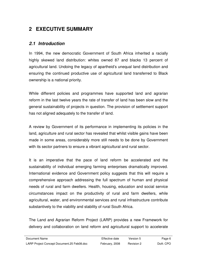# **2 EXECUTIVE SUMMARY**

#### **2.1 Introduction**

In 1994, the new democratic Government of South Africa inherited a racially highly skewed land distribution: whites owned 87 and blacks 13 percent of agricultural land. Undoing the legacy of apartheid's unequal land distribution and ensuring the continued productive use of agricultural land transferred to Black ownership is a national priority.

While different policies and programmes have supported land and agrarian reform in the last twelve years the rate of transfer of land has been slow and the general sustainability of projects in question. The provision of settlement support has not aligned adequately to the transfer of land.

A review by Government of its performance in implementing its policies in the land, agriculture and rural sector has revealed that whilst visible gains have been made in some areas, considerably more still needs to be done by Government with its sector partners to ensure a vibrant agricultural and rural sector.

It is an imperative that the pace of land reform be accelerated and the sustainability of individual emerging farming enterprises dramatically improved. International evidence and Government policy suggests that this will require a comprehensive approach addressing the full spectrum of human and physical needs of rural and farm dwellers. Health, housing, education and social service circumstances impact on the productivity of rural and farm dwellers, while agricultural, water, and environmental services and rural infrastructure contribute substantively to the viability and stability of rural South Africa.

The Land and Agrarian Reform Project (LARP) provides a new Framework for delivery and collaboration on land reform and agricultural support to accelerate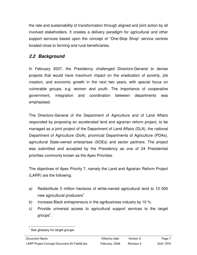the rate and sustainability of transformation through aligned and joint action by all involved stakeholders. It creates a delivery paradigm for agricultural and other support services based upon the concept of "One-Stop Shop" service centres located close to farming and rural beneficiaries.

## **2.2 Background**

In February 2007, the Presidency challenged Directors-General to devise projects that would have maximum impact on the eradication of poverty, job creation, and economic growth in the next two years, with special focus on vulnerable groups, e.g. women and youth. The importance of cooperative government, integration and coordination between departments was emphasised.

The Directors-General of the Department of Agriculture and of Land Affairs responded by proposing an accelerated land and agrarian reform project, to be managed as a joint project of the Department of Land Affairs (DLA), the national Department of Agriculture (DoA), provincial Departments of Agriculture (PDAs), agricultural State-owned enterprises (SOEs) and sector partners. The project was submitted and accepted by the Presidency as one of 24 Presidential priorities commonly known as the Apex Priorities.

The objectives of Apex Priority 7, namely the Land and Agrarian Reform Project (LARP) are the following:

- a) Redistribute 5 million hectares of white-owned agricultural land to 10 000 new agricultural producers<sup>1</sup>
- b) Increase Black entrepreneurs in the agribusiness industry by 10 %.
- c) Provide universal access to agricultural support services to the target groups $^{\rm 1}.$

 $\overline{\phantom{a}}$ 1 See glossary for target groups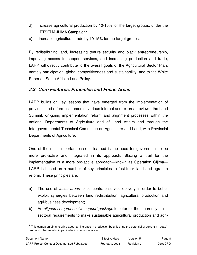- d) Increase agricultural production by 10-15% for the target groups, under the LETSEMA-ILIMA Campaign<sup>2</sup>.
- e) Increase agricultural trade by 10-15% for the target groups.

By redistributing land, increasing tenure security and black entrepreneurship, improving access to support services, and increasing production and trade, LARP will directly contribute to the overall goals of the Agricultural Sector Plan, namely participation, global competitiveness and sustainability, and to the White Paper on South African Land Policy.

### **2.3 Core Features, Principles and Focus Areas**

LARP builds on key lessons that have emerged from the implementation of previous land reform instruments, various internal and external reviews, the Land Summit, on-going implementation reform and alignment processes within the national Departments of Agriculture and of Land Affairs and through the Intergovernmental Technical Committee on Agriculture and Land, with Provincial Departments of Agriculture.

One of the most important lessons learned is the need for government to be more pro-active and integrated in its approach. Blazing a trail for the implementation of a more pro-active approach—known as Operation Gijima— LARP is based on a number of key principles to fast-track land and agrarian reform. These principles are:

- a) The use of *focus areas* to concentrate service delivery in order to better exploit synergies between land redistribution, agricultural production and agri-business development;
- b) An aligned comprehensive support package to cater for the inherently multisectoral requirements to make sustainable agricultural production and agri-

<sup>&</sup>lt;u>2</u><br><sup>2</sup> This campaign aims to bring about an increase in production by unlocking the potential of currently ""dead" land and other assets, in particular in communal areas.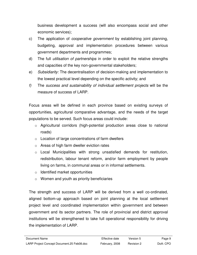business development a success (will also encompass social and other economic services);

- c) The application of *cooperative government* by establishing joint planning, budgeting, approval and implementation procedures between various government departments and programmes;
- d) The full *utilisation of partnerships* in order to exploit the relative strengths and capacities of the key non-governmental stakeholders;
- e) Subsidiarity: The decentralisation of decision-making and implementation to the lowest practical level depending on the specific activity; and
- f) The success and sustainability of individual settlement projects will be the measure of success of LARP.

Focus areas will be defined in each province based on existing surveys of opportunities, agricultural comparative advantage, and the needs of the target populations to be served. Such focus areas could include:

- o Agricultural corridors (high-potential production areas close to national roads)
- $\circ$  Location of large concentrations of farm dwellers
- o Areas of high farm dweller eviction rates
- o Local Municipalities with strong unsatisfied demands for restitution, redistribution, labour tenant reform, and/or farm employment by people living on farms, in communal areas or in informal settlements.
- $\circ$  Identified market opportunities
- $\circ$  Women and youth as priority beneficiaries

The strength and success of LARP will be derived from a well co-ordinated, aligned bottom-up approach based on joint planning at the local settlement project level and coordinated implementation within government and between government and its sector partners. The role of provincial and district approval institutions will be strengthened to take full operational responsibility for driving the implementation of LARP.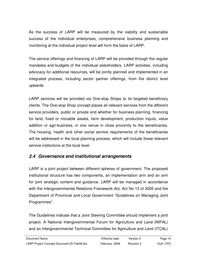As the success of LARP will be measured by the viability and sustainable success of the individual enterprises, comprehensive business planning and monitoring at the individual project level will form the basis of LARP.

The service offerings and financing of LARP will be provided through the regular mandates and budgets of the individual stakeholders. LARP activities, including advocacy for additional resources, will be jointly planned and implemented in an integrated process, including sector partner offerings, from the district level upwards.

LARP services will be provided via One-stop Shops to its targeted beneficiary clients. The One-stop Shop concept places all relevant services from the different service providers, public or private and whether for business planning, financing for land, fixed or movable assets, farm development, production inputs, value addition or agri-business, in one venue in close proximity to the beneficiaries. The housing, health and other social service requirements of the beneficiaries will be addressed in the local planning process, which will include these relevant service institutions at the local level.

## **2.4 Governance and institutional arrangements**

LARP is a joint project between different spheres of government. The proposed institutional structure has two components, an implementation arm and an arm for joint strategic content and guidance. LARP will be managed in accordance with the Intergovernmental Relations Framework Act, Act No 13 of 2005 and the Department of Provincial and Local Government "Guidelines on Managing Joint Programmes".

The Guidelines indicate that a Joint Steering Committee should implement a joint project. A National Intergovernmental Forum for Agriculture and Land (NIFAL) and an Intergovernmental Technical Committee for Agriculture and Land (ITCAL)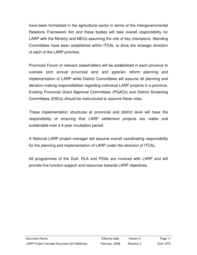have been formalised in the agricultural sector in terms of the Intergovernmental Relations Framework Act and these bodies will take overall responsibility for LARP with the Ministry and MECs assuming the role of key champions. Standing Committees have been established within ITCAL to drive the strategic direction of each of the LARP priorities.

Provincial Forum of relevant stakeholders will be established in each province to oversee joint annual provincial land and agrarian reform planning and implementation of LARP while District Committees will assume all planning and decision-making responsibilities regarding individual LARP projects in a province. Existing Provincial Grant Approval Committees (PGACs) and District Screening Committees (DSCs) should be restructured to assume these roles.

These implementation structures at provincial and district level will have the responsibility of ensuring that LARP settlement projects are viable and sustainable over a 5-year incubation period.

A National LARP project manager will assume overall coordinating responsibility for the planning and implementation of LARP under the direction of ITCAL.

All programmes of the DoA, DLA and PDAs are involved with LARP and will provide line function support and resources towards LARP objectives.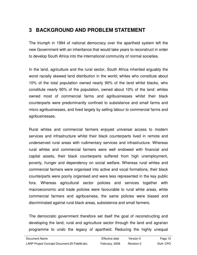## **3 BACKGROUND AND PROBLEM STATEMENT**

The triumph in 1994 of national democracy over the apartheid system left the new Government with an inheritance that would take years to reconstruct in order to develop South Africa into the international community of normal societies.

In the land, agriculture and the rural sector, South Africa inherited arguably the worst racially skewed land distribution in the world; whites who constitute about 10% of the total population owned nearly 90% of the land whilst blacks, who constitute nearly 90% of the population, owned about 10% of the land: whites owned most of commercial farms and agribusinesses whilst their black counterparts were predominantly confined to subsistence and small farms and micro agribusinesses, and lived largely by selling labour to commercial farms and agribusinesses.

Rural whites and commercial farmers enjoyed universal access to modern services and infrastructure whilst their black counterparts lived in remote and underserved rural areas with rudimentary services and infrastructure. Whereas rural whites and commercial farmers were well endowed with financial and capital assets, their black counterparts suffered from high unemployment, poverty, hunger and dependency on social welfare. Whereas rural whites and commercial farmers were organised into active and vocal formations, their black counterparts were poorly organised and were less represented in the key public fora. Whereas agricultural sector policies and services together with macroeconomic and trade policies were favourable to rural white areas, white commercial farmers and agribusiness, the same policies were biased and discriminated against rural black areas, subsistence and small farmers.

The democratic government therefore set itself the goal of reconstructing and developing the land, rural and agriculture sector through the land and agrarian programme to undo the legacy of apartheid. Reducing the highly unequal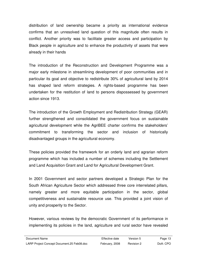distribution of land ownership became a priority as international evidence confirms that an unresolved land question of this magnitude often results in conflict. Another priority was to facilitate greater access and participation by Black people in agriculture and to enhance the productivity of assets that were already in their hands

The introduction of the Reconstruction and Development Programme was a major early milestone in streamlining development of poor communities and in particular its goal and objective to redistribute 30% of agricultural land by 2014 has shaped land reform strategies. A rights-based programme has been undertaken for the restitution of land to persons dispossessed by government action since 1913.

The introduction of the Growth Employment and Redistribution Strategy (GEAR) further strengthened and consolidated the government focus on sustainable agricultural development while the AgriBEE charter confirms the stakeholders' commitment to transforming the sector and inclusion of historically disadvantaged groups in the agricultural economy.

These policies provided the framework for an orderly land and agrarian reform programme which has included a number of schemes including the Settlement and Land Acquisition Grant and Land for Agricultural Development Grant.

In 2001 Government and sector partners developed a Strategic Plan for the South African Agriculture Sector which addressed three core interrelated pillars, namely greater and more equitable participation in the sector, global competitiveness and sustainable resource use. This provided a joint vision of unity and prosperity to the Sector.

However, various reviews by the democratic Government of its performance in implementing its policies in the land, agriculture and rural sector have revealed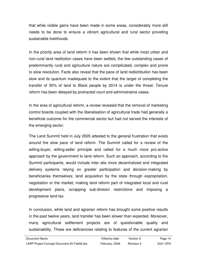that while visible gains have been made in some areas, considerably more still needs to be done to ensure a vibrant agricultural and rural sector providing sustainable livelihoods.

In the priority area of land reform it has been shown that while most urban and non-rural land restitution cases have been settled, the few outstanding cases of predominantly rural and agriculture nature are complicated, complex and prone to slow resolution. Facts also reveal that the pace of land redistribution has been slow and its quantum inadequate to the extent that the target of completing the transfer of 30% of land to Black people by 2014 is under the threat. Tenure reform has been delayed by protracted court and administrative cases.

In the area of agricultural reform, a review revealed that the removal of marketing control boards coupled with the liberalisation of agricultural trade had generally a beneficial outcome for the commercial sector but had not served the interests of the emerging sector.

The Land Summit held in July 2005 attested to the general frustration that exists around the slow pace of land reform. The Summit called for a review of the willing-buyer, willing-seller principle and called for a much more pro-active approach by the government to land reform. Such an approach, according to the Summit participants, would include inter alia more decentralized and integrated delivery systems relying on greater participation and decision-making by beneficiaries themselves; land acquisition by the state through expropriation, negotiation or the market; making land reform part of integrated local and rural development plans, scrapping sub-division restrictions and imposing a progressive land tax.

In conclusion, while land and agrarian reform has brought some positive results in the past twelve years, land transfer has been slower than expected. Moreover, many agricultural settlement projects are of questionable quality and sustainability. These are deficiencies relating to features of the current agrarian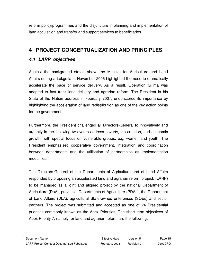reform policy/programmes and the disjuncture in planning and implementation of land acquisition and transfer and support services to beneficiaries.

# **4 PROJECT CONCEPTUALIZATION AND PRINCIPLES**

## **4.1 LARP objectives**

Against the background stated above the Minister for Agriculture and Land Affairs during a Lekgotla in November 2006 highlighted the need to dramatically accelerate the pace of service delivery. As a result, Operation Gijima was adopted to fast track land delivery and agrarian reform. The President in his State of the Nation address in February 2007, underscored its importance by highlighting the acceleration of land redistribution as one of the key action points for the government.

Furthermore, the President challenged all Directors-General to innovatively and urgently in the following two years address poverty, job creation, and economic growth, with special focus on vulnerable groups, e.g. women and youth. The President emphasised cooperative government, integration and coordination between departments and the utilisation of partnerships as implementation modalities.

The Directors-General of the Departments of Agriculture and of Land Affairs responded by proposing an accelerated land and agrarian reform project, (LARP) to be managed as a joint and aligned project by the national Department of Agriculture (DoA), provincial Departments of Agriculture (PDAs), the Department of Land Affairs (DLA), agricultural State-owned enterprises (SOEs) and sector partners. The project was submitted and accepted as one of 24 Presidential priorities commonly known as the Apex Priorities. The short term objectives of Apex Priority 7, namely for land and agrarian reform are the following: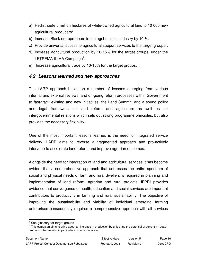- a) Redistribute 5 million hectares of white-owned agricultural land to 10 000 new agricultural producers<sup>3</sup>
- b) Increase Black entrepreneurs in the agribusiness industry by 10 %.
- c) Provide universal access to agricultural support services to the target groups<sup>1</sup>.
- d) Increase agricultural production by 10-15% for the target groups, under the LETSEMA-ILIMA Campaign<sup>4</sup>.
- e) Increase agricultural trade by 10-15% for the target groups.

### **4.2 Lessons learned and new approaches**

The LARP approach builds on a number of lessons emerging from various internal and external reviews, and on-going reform processes within Government to fast-track existing and new initiatives, the Land Summit, and a sound policy and legal framework for land reform and agriculture as well as for intergovernmental relations which sets out strong programme principles, but also provides the necessary flexibility.

One of the most important lessons learned is the need for integrated service delivery. LARP aims to reverse a fragmented approach and pro-actively intervene to accelerate land reform and improve agrarian outcomes.

Alongside the need for integration of land and agricultural services it has become evident that a comprehensive approach that addresses the entire spectrum of social and physical needs of farm and rural dwellers is required in planning and implementation of land reform, agrarian and rural projects. IFPRI provides evidence that convergence of health, education and social services are important contributors to productivity in farming and rural sustainability. The objective of improving the sustainability and viability of individual emerging farming enterprises consequently requires a comprehensive approach with all services

 3 See glossary for target groups

<sup>&</sup>lt;sup>4</sup> This campaign aims to bring about an increase in production by unlocking the potential of currently ""dead" land and other assets, in particular in communal areas.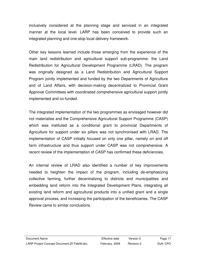inclusively considered at the planning stage and serviced in an integrated manner at the local level. LARP has been conceived to provide such an integrated planning and one-stop local delivery framework.

Other key lessons learned include those emerging from the experience of the main land redistribution and agricultural support sub-programme: the Land Redistribution for Agricultural Development Programme (LRAD). The program was originally designed as a Land Redistribution and Agricultural Support Program jointly implemented and funded by the two Departments of Agriculture and of Land Affairs, with decision-making decentralized to Provincial Grant Approval Committees with coordinated comprehensive agricultural support jointly implemented and co-funded.

The integrated implementation of the two programmes as envisaged however did not materialise and the Comprehensive Agricultural Support Programme (CASP) which was instituted as a conditional grant to provincial Departments of Agriculture for support under six pillars was not synchronised with LRAD. The implementation of CASP initially focused on only one pillar, namely on and off farm infrastructure and thus support under CASP was not comprehensive. A recent review of the implementation of CASP has confirmed these deficiencies.

An internal review of LRAD also identified a number of key improvements needed to heighten the impact of the program, including de-emphasizing collective farming, further decentralizing to districts and municipalities and embedding land reform into the Integrated Development Plans, integrating all existing land reform and agricultural products into a unified grant and a single approval process, and increasing the participation of the beneficiaries. The CASP Review came to similar conclusions.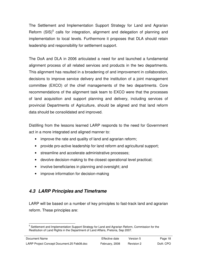The Settlement and Implementation Support Strategy for Land and Agrarian Reform  $(SIS)^5$  calls for integration, alignment and delegation of planning and implementation to local levels. Furthermore it proposes that DLA should retain leadership and responsibility for settlement support.

The DoA and DLA in 2006 articulated a need for and launched a fundamental alignment process of all related services and products in the two departments. This alignment has resulted in a broadening of and improvement in collaboration, decisions to improve service delivery and the institution of a joint management committee (EXCO) of the chief managements of the two departments. Core recommendations of the alignment task team to EXCO were that the processes of land acquisition and support planning and delivery, including services of provincial Departments of Agriculture, should be aligned and that land reform data should be consolidated and improved.

Distilling from the lessons learned LARP responds to the need for Government act in a more integrated and aligned manner to:

- improve the rate and quality of land and agrarian reform;
- provide pro-active leadership for land reform and agricultural support;
- streamline and accelerate administrative processes;
- devolve decision-making to the closest operational level practical;
- involve beneficiaries in planning and oversight; and
- improve information for decision-making

#### **4.3 LARP Principles and Timeframe**

LARP will be based on a number of key principles to fast-track land and agrarian reform. These principles are:

 $\overline{a}$ <sup>5</sup> Settlement and Implementation Support Strategy for Land and Agrarian Reform, Commission for the Restitution of Land Rights in the Department of Land Affairs, Pretoria, Sep 2007.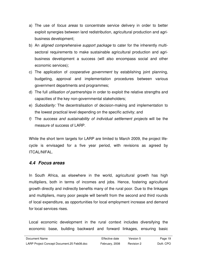- a) The use of focus areas to concentrate service delivery in order to better exploit synergies between land redistribution, agricultural production and agribusiness development;
- b) An aligned comprehensive support package to cater for the inherently multisectoral requirements to make sustainable agricultural production and agribusiness development a success (will also encompass social and other economic services);
- c) The application of *cooperative government* by establishing joint planning, budgeting, approval and implementation procedures between various government departments and programmes;
- d) The full utilisation of partnerships in order to exploit the relative strengths and capacities of the key non-governmental stakeholders;
- e) Subsidiarity: The decentralisation of decision-making and implementation to the lowest practical level depending on the specific activity; and
- f) The success and sustainability of individual settlement projects will be the measure of success of LARP.

While the short term targets for LARP are limited to March 2009, the project lifecycle is envisaged for a five year period, with revisions as agreed by ITCAL/NIFAL.

#### **4.4 Focus areas**

In South Africa, as elsewhere in the world, agricultural growth has high multipliers, both in terms of incomes and jobs. Hence, fostering agricultural growth directly and indirectly benefits many of the rural poor. Due to the linkages and multipliers, many poor people will benefit from the second and third rounds of local expenditure, as opportunities for local employment increase and demand for local services rises.

Local economic development in the rural context includes diversifying the economic base, building backward and forward linkages, ensuring basic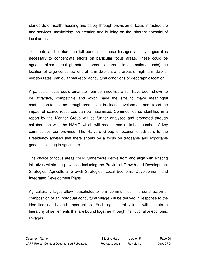standards of health, housing and safety through provision of basic infrastructure and services, maximizing job creation and building on the inherent potential of local areas.

To create and capture the full benefits of these linkages and synergies it is necessary to concentrate efforts on particular focus areas. These could be agricultural corridors (high-potential production areas close to national roads), the location of large concentrations of farm dwellers and areas of high farm dweller eviction rates, particular market or agricultural conditions or geographic location.

A particular focus could emanate from commodities which have been shown to be attractive, competitive and which have the size to make meaningful contribution to income through production, business development and export the impact of scarce resources can be maximised. Commodities so identified in a report by the Monitor Group will be further analysed and promoted through collaboration with the NAMC which will recommend a limited number of key commodities per province. The Harvard Group of economic advisors to the Presidency advised that there should be a focus on tradeable and exportable goods, including in agriculture.

The choice of focus areas could furthermore derive from and align with existing initiatives within the provinces including the Provincial Growth and Development Strategies, Agricultural Growth Strategies, Local Economic Development, and Integrated Development Plans.

Agricultural villages allow households to form communities. The construction or composition of an individual agricultural village will be derived in response to the identified needs and opportunities. Each agricultural village will contain a hierarchy of settlements that are bound together through institutional or economic linkages.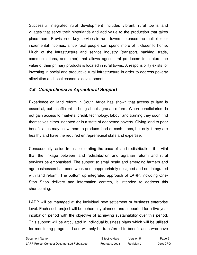Successful integrated rural development includes vibrant, rural towns and villages that serve their hinterlands and add value to the production that takes place there. Provision of key services in rural towns increases the multiplier for incremental incomes, since rural people can spend more of it closer to home. Much of the infrastructure and service industry (transport, banking, trade, communications, and other) that allows agricultural producers to capture the value of their primary products is located in rural towns. A responsibility exists for investing in social and productive rural infrastructure in order to address poverty alleviation and local economic development.

## **4.5 Comprehensive Agricultural Support**

Experience on land reform in South Africa has shown that access to land is essential, but insufficient to bring about agrarian reform. When beneficiaries do not gain access to markets, credit, technology, labour and training they soon find themselves either indebted or in a state of deepened poverty. Giving land to poor beneficiaries may allow them to produce food or cash crops, but only if they are healthy and have the required entrepreneurial skills and expertise.

Consequently, aside from accelerating the pace of land redistribution, it is vital that the linkage between land redistribution and agrarian reform and rural services be emphasised. The support to small scale and emerging farmers and agri-businesses has been weak and inappropriately designed and not integrated with land reform. The bottom up integrated approach of LARP, including One-Stop Shop delivery and information centres, is intended to address this shortcoming.

LARP will be managed at the individual new settlement or business enterprise level. Each such project will be coherently planned and supported for a five year incubation period with the objective of achieving sustainability over this period. This support will be articulated in individual business plans which will be utilised for monitoring progress. Land will only be transferred to beneficiaries who have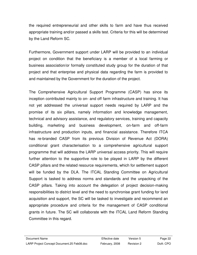the required entrepreneurial and other skills to farm and have thus received appropriate training and/or passed a skills test. Criteria for this will be determined by the Land Reform SC.

Furthermore, Government support under LARP will be provided to an individual project on condition that the beneficiary is a member of a local farming or business association/or formally constituted study group for the duration of that project and that enterprise and physical data regarding the farm is provided to and maintained by the Government for the duration of the project.

The Comprehensive Agricultural Support Programme (CASP) has since its inception contributed mainly to on- and off farm infrastructure and training. It has not yet addressed the universal support needs required by LARP and the promise of its six pillars, namely information and knowledge management, technical and advisory assistance, and regulatory services, training and capacity building, marketing and business development, on-farm and off-farm infrastructure and production inputs, and financial assistance. Therefore ITCA has re-branded CASP from its previous Division of Revenue Act (DORA) conditional grant characterisation to a comprehensive agricultural support programme that will address the LARP universal access priority. This will require further attention to the supportive role to be played in LARP by the different CASP pillars and the related resource requirements, which for settlement support will be funded by the DLA. The ITCAL Standing Committee on Agricultural Support is tasked to address norms and standards and the unpacking of the CASP pillars. Taking into account the delegation of project decision-making responsibilities to district level and the need to synchronise grant funding for land acquisition and support, the SC will be tasked to investigate and recommend an appropriate procedure and criteria for the management of CASP conditional grants in future. The SC will collaborate with the ITCAL Land Reform Standing Committee in this regard.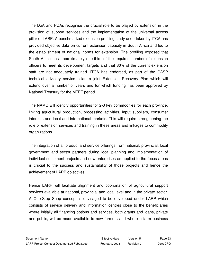The DoA and PDAs recognise the crucial role to be played by extension in the provision of support services and the implementation of the universal access pillar of LARP. A benchmarked extension profiling study undertaken by ITCA has provided objective data on current extension capacity in South Africa and led to the establishment of national norms for extension. The profiling exposed that South Africa has approximately one-third of the required number of extension officers to meet its development targets and that 80% of the current extension staff are not adequately trained. ITCA has endorsed, as part of the CASP technical advisory service pillar, a joint Extension Recovery Plan which will extend over a number of years and for which funding has been approved by National Treasury for the MTEF period.

The NAMC will identify opportunities for 2-3 key commodities for each province, linking agricultural production, processing activities, input suppliers, consumer interests and local and international markets. This will require strengthening the role of extension services and training in these areas and linkages to commodity organizations.

The integration of all product and service offerings from national, provincial, local government and sector partners during local planning and implementation of individual settlement projects and new enterprises as applied to the focus areas is crucial to the success and sustainability of those projects and hence the achievement of LARP objectives.

Hence LARP will facilitate alignment and coordination of agricultural support services available at national, provincial and local level and in the private sector. A One-Stop Shop concept is envisaged to be developed under LARP which consists of service delivery and information centres close to the beneficiaries where initially all financing options and services, both grants and loans, private and public, will be made available to new farmers and where a farm business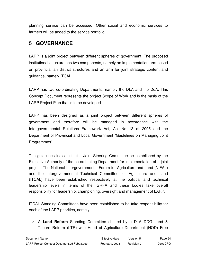planning service can be accessed. Other social and economic services to farmers will be added to the service portfolio.

## **5 GOVERNANCE**

LARP is a joint project between different spheres of government. The proposed institutional structure has two components, namely an implementation arm based on provincial an district structures and an arm for joint strategic content and guidance, namely ITCAL.

LARP has two co-ordinating Departments, namely the DLA and the DoA. This Concept Document represents the project Scope of Work and is the basis of the LARP Project Plan that is to be developed

LARP has been designed as a joint project between different spheres of government and therefore will be managed in accordance with the Intergovernmental Relations Framework Act, Act No 13 of 2005 and the Department of Provincial and Local Government "Guidelines on Managing Joint Programmes".

The guidelines indicate that a Joint Steering Committee be established by the Executive Authority of the co-ordinating Department for implementation of a joint project. The National Intergovernmental Forum for Agriculture and Land (NIFAL) and the Intergovernmental Technical Committee for Agriculture and Land (ITCAL) have been established respectively at the political and technical leadership levels in terms of the IGRFA and these bodies take overall responsibility for leadership, championing, oversight and management of LARP.

ITCAL Standing Committees have been established to be take responsibility for each of the LARP priorities, namely:

o A **Land Reform** Standing Committee chaired by a DLA DDG Land & Tenure Reform (LTR) with Head of Agriculture Department (HOD) Free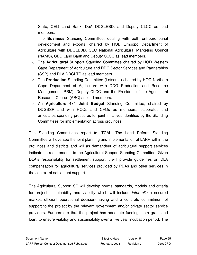State, CEO Land Bank, DoA DDGLEBD, and Deputy CLCC as lead members.

- o The **Business** Standing Committee, dealing with both entrepreneurial development and exports, chaired by HOD Limpopo Department of Agriculture with DDGLEBD, CEO National Agricultural Marketing Council (NAMC), CEO Land Bank and Deputy CLCC as lead members.
- o The **Agricultural Support** Standing Committee chaired by HOD Western Cape Department of Agriculture and DDG Sector Services and Partnerships (SSP) and DLA DDGLTR as lead members.
- o The **Production** Standing Committee (Letsema) chaired by HOD Northern Cape Department of Agriculture with DDG Production and Resource Management (PRM), Deputy CLCC and the President of the Agricultural Research Council (ARC) as lead members.
- o An **Agriculture 4x4 Joint Budget** Standing Committee, chaired by DDGSSP and with HODs and CFOs as members, elaborates and articulates spending pressures for joint initiatives identified by the Standing Committees for implementation across provinces.

The Standing Committees report to ITCAL. The Land Reform Standing Committee will oversee the joint planning and implementation of LARP within the provinces and districts and will as demandeur of agricultural support services indicate its requirements to the Agricultural Support Standing Committee. Given DLA's responsibility for settlement support it will provide guidelines on DLA compensation for agricultural services provided by PDAs and other services in the context of settlement support.

The Agricultural Support SC will develop norms, standards, models and criteria for project sustainability and viability which will include *inter alia* a secured market, efficient operational decision-making and a concrete commitment of support to the project by the relevant government and/or private sector service providers. Furthermore that the project has adequate funding, both grant and loan, to ensure viability and sustainability over a five year incubation period. The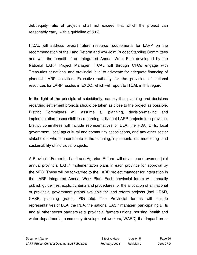debt/equity ratio of projects shall not exceed that which the project can reasonably carry, with a guideline of 30%.

ITCAL will address overall future resource requirements for LARP on the recommendation of the Land Reform and 4x4 Joint Budget Standing Committees and with the benefit of an Integrated Annual Work Plan developed by the National LARP Project Manager. ITCAL will through CFOs engage with Treasuries at national and provincial level to advocate for adequate financing of planned LARP activities. Executive authority for the provision of national resources for LARP resides in EXCO, which will report to ITCAL in this regard.

In the light of the principle of subsidiarity, namely that planning and decisions regarding settlement projects should be taken as close to the project as possible, District Committees will assume all planning, decision-making and implementation responsibilities regarding individual LARP projects in a province. District committees will include representatives of DLA, the PDA, DFIs, local government, local agricultural and community associations, and any other sector stakeholder who can contribute to the planning, implementation, monitoring and sustainability of individual projects.

A Provincial Forum for Land and Agrarian Reform will develop and oversee joint annual provincial LARP implementation plans in each province for approval by the MEC. These will be forwarded to the LARP project manager for integration in the LARP Integrated Annual Work Plan. Each provincial forum will annually publish guidelines, explicit criteria and procedures for the allocation of all national or provincial government grants available for land reform projects (incl. LRAD, CASP, planning grants, PIG etc). The Provincial forums will include representatives of DLA, the PDA, the national CASP manager, participating DFIs and all other sector partners (e.g. provincial farmers unions, housing, health and water departments, community development workers, WARD) that impact on or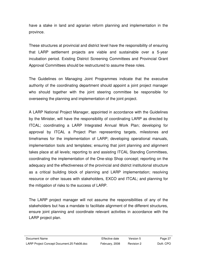have a stake in land and agrarian reform planning and implementation in the province.

These structures at provincial and district level have the responsibility of ensuring that LARP settlement projects are viable and sustainable over a 5-year incubation period. Existing District Screening Committees and Provincial Grant Approval Committees should be restructured to assume these roles.

The Guidelines on Managing Joint Programmes indicate that the executive authority of the coordinating department should appoint a joint project manager who should together with the joint steering committee be responsible for overseeing the planning and implementation of the joint project.

A LARP National Project Manager, appointed in accordance with the Guidelines by the Minister, will have the responsibility of coordinating LARP as directed by ITCAL; coordinating a LARP Integrated Annual Work Plan; developing for approval by ITCAL a Project Plan representing targets, milestones and timeframes for the implementation of LARP; developing operational manuals, implementation tools and templates; ensuring that joint planning and alignment takes place at all levels; reporting to and assisting ITCAL Standing Committees, coordinating the implementation of the One-stop Shop concept; reporting on the adequacy and the effectiveness of the provincial and district institutional structure as a critical building block of planning and LARP implementation; resolving resource or other issues with stakeholders, EXCO and ITCAL; and planning for the mitigation of risks to the success of LARP.

The LARP project manager will not assume the responsibilities of any of the stakeholders but has a mandate to facilitate alignment of the different structures, ensure joint planning and coordinate relevant activities in accordance with the LARP project plan.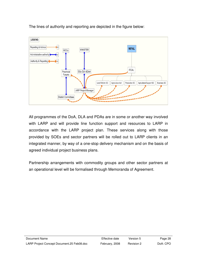

The lines of authority and reporting are depicted in the figure below:

All programmes of the DoA, DLA and PDAs are in some or another way involved with LARP and will provide line function support and resources to LARP in accordance with the LARP project plan. These services along with those provided by SOEs and sector partners will be rolled out to LARP clients in an integrated manner, by way of a one-stop delivery mechanism and on the basis of agreed individual project business plans.

Partnership arrangements with commodity groups and other sector partners at an operational level will be formalised through Memoranda of Agreement.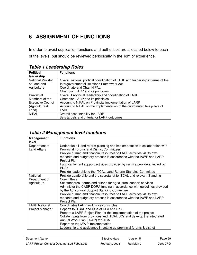# **6 ASSIGNMENT OF FUNCTIONS**

In order to avoid duplication functions and authorities are allocated below to each of the levels, but should be reviewed periodically in the light of experience.

| <b>Political</b>         | <b>Functions</b>                                                               |
|--------------------------|--------------------------------------------------------------------------------|
| leadership               |                                                                                |
| <b>National Ministry</b> | Overall national political coordination of LARP and leadership in terms of the |
| of Land and              | Intergovernmental Relations Framework Act                                      |
| Agriculture              | Coordinate and Chair NIFAL                                                     |
|                          | Champion LARP and its principles                                               |
| Provincial               | Overall Provincial leadership and coordination of LARP                         |
| Members of the           | Champion LARP and its principles                                               |
| Executive Council        | Account to NIFAL on Provincial implementation of LARP                          |
| (Agriculture &           | Account to NIFAL on the implementation of the coordinated five pillars of      |
| Land)                    | LARP                                                                           |
| <b>NIFAL</b>             | Overall accountability for LARP                                                |
|                          | Sets targets and criteria for LARP outcomes                                    |

## **Table 1 Leadership Roles**

#### **Table 2 Management level functions**

| Management<br>level                      | <b>Functions</b>                                                                                                                                                                                                                                                                                                                                                                                                                                              |
|------------------------------------------|---------------------------------------------------------------------------------------------------------------------------------------------------------------------------------------------------------------------------------------------------------------------------------------------------------------------------------------------------------------------------------------------------------------------------------------------------------------|
| Department of<br><b>Land Affairs</b>     | Undertake all land reform planning and implementation in collaboration with<br><b>Provincial Forums and District Committees</b><br>Provide human and financial resources to LARP activities via its own<br>mandate and budgetary process in accordance with the IAWP and LARP<br>Project Plan<br>Fund settlement support activities provided by service providers, including<br><b>PDAs</b><br>Provide leadership to the ITCAL Land Reform Standing Committee |
| National<br>Department of<br>Agriculture | Provide Leadership and the secretariat to ITCAL and relevant Standing<br>Committees<br>Set standards, norms and criteria for agricultural support services<br>Administer the CASP DORA funding in accordance with guidelines provided<br>by the Agricultural Support Standing Committee<br>Provide human and financial resources to LARP activities via its own<br>mandate and budgetary process in accordance with the IAWP and LARP<br>Project Plan         |
| <b>LARP National</b><br>Project Manager  | Coordinates LARP and its key principles<br>Reports to ITCAL and DGs of DLA and DoA<br>Prepare a LARP Project Plan for the implementation of the project<br>Collate inputs from provinces and ITCAL SCs and develop the Integrated<br>Annual Work Plan (IAWP) for ITCAL<br>Report on the IAWP implementation<br>Leadership and assistance in setting up provincial forums & district                                                                           |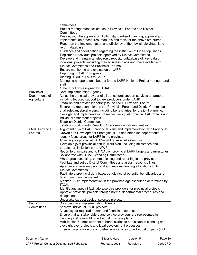| Project management assistance to Provincial Forums and District<br>Committees<br>Design, with the approval of ITCAL, standardised planning, approval and<br>implementation procedures, manuals and tools for the above structures<br>Report on the implementation and efficiency of the new single virtual land<br>reform database<br>Guidance and coordination regarding the institution of One-Stop Shops<br>Register all individual projects approved by District Committees<br>Develop and maintain an electronic repository/database of key data on<br>individual projects, including their business plans and make available to<br>District Committees and Provincial Forums.<br>Ensure monitoring and evaluation of LARP<br>Reporting on LARP progress<br>Alerting ITCAL of risks to LARP<br>Managing an operational budget for the LARP National Project manager and<br>staff<br>Other functions assigned by ITCAL<br><b>Core Implementation Agency</b><br>Provincial<br>Act as the principal provider of all agricultural support services to farmers,<br>Departments of<br>Agriculture<br>including focused support to new producers under LARP<br>Establish and provide leadership to the LARP Provincial Forum<br>Ensure the representation on the Provincial Forum and District Committees<br>of all relevant stakeholders, including beneficiaries, for the joint planning,<br>oversight and implementation of respectively joint provincial LARP plans and<br>individual settlement projects<br><b>Establish District Committees</b><br>Establish or align with One-Stop Shop service delivery centres<br>Alignment of joint LARP provincial plans and implementation with Provincial<br><b>LARP Provincial</b><br>Growth and Development Strategies, IDPs and other line departments<br>Forums<br>Identify focus areas for LARP in the province<br>Advocacy for provincial LARP-enabling rural infrastructure<br>Develop a joint provincial annual work plan, including milestones and<br>targets, for inclusion in the IAWP<br>Report to principals and to ITCAL on provincial LARP targets and milestones<br>Collaborate with ITCAL Standing Committees<br>360 degree consulting, communicating and reporting in the province<br>Facilitate and set up District Committees and assign responsibilities<br>Approve and oversee provincial and national funding allocations to its<br><b>District Committees</b><br>Facilitate a provincial data base, per district, of potential beneficiaries and<br>land coming on the market<br>Monitor LARP implementation in the province against criteria determined by<br><b>ITCAL</b><br>Identify and appoint facilitators/service providers for provincial projects<br>Approve provincial projects through normal departmental procedures and<br>delegations<br>Undertake ex-post audit of selected projects<br>Core coal-face Implementation Agency<br><b>District</b><br>Approve individual LARP projects<br>Committees<br>Advocacy for required human and financial resources<br>Ensure that all stakeholders and service providers are represented in<br>planning and oversight of individual business plans | committees                                                                 |
|----------------------------------------------------------------------------------------------------------------------------------------------------------------------------------------------------------------------------------------------------------------------------------------------------------------------------------------------------------------------------------------------------------------------------------------------------------------------------------------------------------------------------------------------------------------------------------------------------------------------------------------------------------------------------------------------------------------------------------------------------------------------------------------------------------------------------------------------------------------------------------------------------------------------------------------------------------------------------------------------------------------------------------------------------------------------------------------------------------------------------------------------------------------------------------------------------------------------------------------------------------------------------------------------------------------------------------------------------------------------------------------------------------------------------------------------------------------------------------------------------------------------------------------------------------------------------------------------------------------------------------------------------------------------------------------------------------------------------------------------------------------------------------------------------------------------------------------------------------------------------------------------------------------------------------------------------------------------------------------------------------------------------------------------------------------------------------------------------------------------------------------------------------------------------------------------------------------------------------------------------------------------------------------------------------------------------------------------------------------------------------------------------------------------------------------------------------------------------------------------------------------------------------------------------------------------------------------------------------------------------------------------------------------------------------------------------------------------------------------------------------------------------------------------------------------------------------------------------------------------------------------------------------------------------------------------------------------------------------------------------------------------------------------------------------------------------------------------------------------------------------------------------------------------------|----------------------------------------------------------------------------|
|                                                                                                                                                                                                                                                                                                                                                                                                                                                                                                                                                                                                                                                                                                                                                                                                                                                                                                                                                                                                                                                                                                                                                                                                                                                                                                                                                                                                                                                                                                                                                                                                                                                                                                                                                                                                                                                                                                                                                                                                                                                                                                                                                                                                                                                                                                                                                                                                                                                                                                                                                                                                                                                                                                                                                                                                                                                                                                                                                                                                                                                                                                                                                                            |                                                                            |
|                                                                                                                                                                                                                                                                                                                                                                                                                                                                                                                                                                                                                                                                                                                                                                                                                                                                                                                                                                                                                                                                                                                                                                                                                                                                                                                                                                                                                                                                                                                                                                                                                                                                                                                                                                                                                                                                                                                                                                                                                                                                                                                                                                                                                                                                                                                                                                                                                                                                                                                                                                                                                                                                                                                                                                                                                                                                                                                                                                                                                                                                                                                                                                            |                                                                            |
|                                                                                                                                                                                                                                                                                                                                                                                                                                                                                                                                                                                                                                                                                                                                                                                                                                                                                                                                                                                                                                                                                                                                                                                                                                                                                                                                                                                                                                                                                                                                                                                                                                                                                                                                                                                                                                                                                                                                                                                                                                                                                                                                                                                                                                                                                                                                                                                                                                                                                                                                                                                                                                                                                                                                                                                                                                                                                                                                                                                                                                                                                                                                                                            |                                                                            |
|                                                                                                                                                                                                                                                                                                                                                                                                                                                                                                                                                                                                                                                                                                                                                                                                                                                                                                                                                                                                                                                                                                                                                                                                                                                                                                                                                                                                                                                                                                                                                                                                                                                                                                                                                                                                                                                                                                                                                                                                                                                                                                                                                                                                                                                                                                                                                                                                                                                                                                                                                                                                                                                                                                                                                                                                                                                                                                                                                                                                                                                                                                                                                                            |                                                                            |
|                                                                                                                                                                                                                                                                                                                                                                                                                                                                                                                                                                                                                                                                                                                                                                                                                                                                                                                                                                                                                                                                                                                                                                                                                                                                                                                                                                                                                                                                                                                                                                                                                                                                                                                                                                                                                                                                                                                                                                                                                                                                                                                                                                                                                                                                                                                                                                                                                                                                                                                                                                                                                                                                                                                                                                                                                                                                                                                                                                                                                                                                                                                                                                            |                                                                            |
|                                                                                                                                                                                                                                                                                                                                                                                                                                                                                                                                                                                                                                                                                                                                                                                                                                                                                                                                                                                                                                                                                                                                                                                                                                                                                                                                                                                                                                                                                                                                                                                                                                                                                                                                                                                                                                                                                                                                                                                                                                                                                                                                                                                                                                                                                                                                                                                                                                                                                                                                                                                                                                                                                                                                                                                                                                                                                                                                                                                                                                                                                                                                                                            |                                                                            |
|                                                                                                                                                                                                                                                                                                                                                                                                                                                                                                                                                                                                                                                                                                                                                                                                                                                                                                                                                                                                                                                                                                                                                                                                                                                                                                                                                                                                                                                                                                                                                                                                                                                                                                                                                                                                                                                                                                                                                                                                                                                                                                                                                                                                                                                                                                                                                                                                                                                                                                                                                                                                                                                                                                                                                                                                                                                                                                                                                                                                                                                                                                                                                                            |                                                                            |
|                                                                                                                                                                                                                                                                                                                                                                                                                                                                                                                                                                                                                                                                                                                                                                                                                                                                                                                                                                                                                                                                                                                                                                                                                                                                                                                                                                                                                                                                                                                                                                                                                                                                                                                                                                                                                                                                                                                                                                                                                                                                                                                                                                                                                                                                                                                                                                                                                                                                                                                                                                                                                                                                                                                                                                                                                                                                                                                                                                                                                                                                                                                                                                            |                                                                            |
|                                                                                                                                                                                                                                                                                                                                                                                                                                                                                                                                                                                                                                                                                                                                                                                                                                                                                                                                                                                                                                                                                                                                                                                                                                                                                                                                                                                                                                                                                                                                                                                                                                                                                                                                                                                                                                                                                                                                                                                                                                                                                                                                                                                                                                                                                                                                                                                                                                                                                                                                                                                                                                                                                                                                                                                                                                                                                                                                                                                                                                                                                                                                                                            |                                                                            |
|                                                                                                                                                                                                                                                                                                                                                                                                                                                                                                                                                                                                                                                                                                                                                                                                                                                                                                                                                                                                                                                                                                                                                                                                                                                                                                                                                                                                                                                                                                                                                                                                                                                                                                                                                                                                                                                                                                                                                                                                                                                                                                                                                                                                                                                                                                                                                                                                                                                                                                                                                                                                                                                                                                                                                                                                                                                                                                                                                                                                                                                                                                                                                                            |                                                                            |
|                                                                                                                                                                                                                                                                                                                                                                                                                                                                                                                                                                                                                                                                                                                                                                                                                                                                                                                                                                                                                                                                                                                                                                                                                                                                                                                                                                                                                                                                                                                                                                                                                                                                                                                                                                                                                                                                                                                                                                                                                                                                                                                                                                                                                                                                                                                                                                                                                                                                                                                                                                                                                                                                                                                                                                                                                                                                                                                                                                                                                                                                                                                                                                            |                                                                            |
|                                                                                                                                                                                                                                                                                                                                                                                                                                                                                                                                                                                                                                                                                                                                                                                                                                                                                                                                                                                                                                                                                                                                                                                                                                                                                                                                                                                                                                                                                                                                                                                                                                                                                                                                                                                                                                                                                                                                                                                                                                                                                                                                                                                                                                                                                                                                                                                                                                                                                                                                                                                                                                                                                                                                                                                                                                                                                                                                                                                                                                                                                                                                                                            |                                                                            |
|                                                                                                                                                                                                                                                                                                                                                                                                                                                                                                                                                                                                                                                                                                                                                                                                                                                                                                                                                                                                                                                                                                                                                                                                                                                                                                                                                                                                                                                                                                                                                                                                                                                                                                                                                                                                                                                                                                                                                                                                                                                                                                                                                                                                                                                                                                                                                                                                                                                                                                                                                                                                                                                                                                                                                                                                                                                                                                                                                                                                                                                                                                                                                                            |                                                                            |
|                                                                                                                                                                                                                                                                                                                                                                                                                                                                                                                                                                                                                                                                                                                                                                                                                                                                                                                                                                                                                                                                                                                                                                                                                                                                                                                                                                                                                                                                                                                                                                                                                                                                                                                                                                                                                                                                                                                                                                                                                                                                                                                                                                                                                                                                                                                                                                                                                                                                                                                                                                                                                                                                                                                                                                                                                                                                                                                                                                                                                                                                                                                                                                            |                                                                            |
|                                                                                                                                                                                                                                                                                                                                                                                                                                                                                                                                                                                                                                                                                                                                                                                                                                                                                                                                                                                                                                                                                                                                                                                                                                                                                                                                                                                                                                                                                                                                                                                                                                                                                                                                                                                                                                                                                                                                                                                                                                                                                                                                                                                                                                                                                                                                                                                                                                                                                                                                                                                                                                                                                                                                                                                                                                                                                                                                                                                                                                                                                                                                                                            |                                                                            |
|                                                                                                                                                                                                                                                                                                                                                                                                                                                                                                                                                                                                                                                                                                                                                                                                                                                                                                                                                                                                                                                                                                                                                                                                                                                                                                                                                                                                                                                                                                                                                                                                                                                                                                                                                                                                                                                                                                                                                                                                                                                                                                                                                                                                                                                                                                                                                                                                                                                                                                                                                                                                                                                                                                                                                                                                                                                                                                                                                                                                                                                                                                                                                                            |                                                                            |
|                                                                                                                                                                                                                                                                                                                                                                                                                                                                                                                                                                                                                                                                                                                                                                                                                                                                                                                                                                                                                                                                                                                                                                                                                                                                                                                                                                                                                                                                                                                                                                                                                                                                                                                                                                                                                                                                                                                                                                                                                                                                                                                                                                                                                                                                                                                                                                                                                                                                                                                                                                                                                                                                                                                                                                                                                                                                                                                                                                                                                                                                                                                                                                            |                                                                            |
|                                                                                                                                                                                                                                                                                                                                                                                                                                                                                                                                                                                                                                                                                                                                                                                                                                                                                                                                                                                                                                                                                                                                                                                                                                                                                                                                                                                                                                                                                                                                                                                                                                                                                                                                                                                                                                                                                                                                                                                                                                                                                                                                                                                                                                                                                                                                                                                                                                                                                                                                                                                                                                                                                                                                                                                                                                                                                                                                                                                                                                                                                                                                                                            |                                                                            |
|                                                                                                                                                                                                                                                                                                                                                                                                                                                                                                                                                                                                                                                                                                                                                                                                                                                                                                                                                                                                                                                                                                                                                                                                                                                                                                                                                                                                                                                                                                                                                                                                                                                                                                                                                                                                                                                                                                                                                                                                                                                                                                                                                                                                                                                                                                                                                                                                                                                                                                                                                                                                                                                                                                                                                                                                                                                                                                                                                                                                                                                                                                                                                                            |                                                                            |
|                                                                                                                                                                                                                                                                                                                                                                                                                                                                                                                                                                                                                                                                                                                                                                                                                                                                                                                                                                                                                                                                                                                                                                                                                                                                                                                                                                                                                                                                                                                                                                                                                                                                                                                                                                                                                                                                                                                                                                                                                                                                                                                                                                                                                                                                                                                                                                                                                                                                                                                                                                                                                                                                                                                                                                                                                                                                                                                                                                                                                                                                                                                                                                            |                                                                            |
|                                                                                                                                                                                                                                                                                                                                                                                                                                                                                                                                                                                                                                                                                                                                                                                                                                                                                                                                                                                                                                                                                                                                                                                                                                                                                                                                                                                                                                                                                                                                                                                                                                                                                                                                                                                                                                                                                                                                                                                                                                                                                                                                                                                                                                                                                                                                                                                                                                                                                                                                                                                                                                                                                                                                                                                                                                                                                                                                                                                                                                                                                                                                                                            |                                                                            |
|                                                                                                                                                                                                                                                                                                                                                                                                                                                                                                                                                                                                                                                                                                                                                                                                                                                                                                                                                                                                                                                                                                                                                                                                                                                                                                                                                                                                                                                                                                                                                                                                                                                                                                                                                                                                                                                                                                                                                                                                                                                                                                                                                                                                                                                                                                                                                                                                                                                                                                                                                                                                                                                                                                                                                                                                                                                                                                                                                                                                                                                                                                                                                                            |                                                                            |
|                                                                                                                                                                                                                                                                                                                                                                                                                                                                                                                                                                                                                                                                                                                                                                                                                                                                                                                                                                                                                                                                                                                                                                                                                                                                                                                                                                                                                                                                                                                                                                                                                                                                                                                                                                                                                                                                                                                                                                                                                                                                                                                                                                                                                                                                                                                                                                                                                                                                                                                                                                                                                                                                                                                                                                                                                                                                                                                                                                                                                                                                                                                                                                            |                                                                            |
|                                                                                                                                                                                                                                                                                                                                                                                                                                                                                                                                                                                                                                                                                                                                                                                                                                                                                                                                                                                                                                                                                                                                                                                                                                                                                                                                                                                                                                                                                                                                                                                                                                                                                                                                                                                                                                                                                                                                                                                                                                                                                                                                                                                                                                                                                                                                                                                                                                                                                                                                                                                                                                                                                                                                                                                                                                                                                                                                                                                                                                                                                                                                                                            |                                                                            |
|                                                                                                                                                                                                                                                                                                                                                                                                                                                                                                                                                                                                                                                                                                                                                                                                                                                                                                                                                                                                                                                                                                                                                                                                                                                                                                                                                                                                                                                                                                                                                                                                                                                                                                                                                                                                                                                                                                                                                                                                                                                                                                                                                                                                                                                                                                                                                                                                                                                                                                                                                                                                                                                                                                                                                                                                                                                                                                                                                                                                                                                                                                                                                                            |                                                                            |
|                                                                                                                                                                                                                                                                                                                                                                                                                                                                                                                                                                                                                                                                                                                                                                                                                                                                                                                                                                                                                                                                                                                                                                                                                                                                                                                                                                                                                                                                                                                                                                                                                                                                                                                                                                                                                                                                                                                                                                                                                                                                                                                                                                                                                                                                                                                                                                                                                                                                                                                                                                                                                                                                                                                                                                                                                                                                                                                                                                                                                                                                                                                                                                            |                                                                            |
|                                                                                                                                                                                                                                                                                                                                                                                                                                                                                                                                                                                                                                                                                                                                                                                                                                                                                                                                                                                                                                                                                                                                                                                                                                                                                                                                                                                                                                                                                                                                                                                                                                                                                                                                                                                                                                                                                                                                                                                                                                                                                                                                                                                                                                                                                                                                                                                                                                                                                                                                                                                                                                                                                                                                                                                                                                                                                                                                                                                                                                                                                                                                                                            |                                                                            |
|                                                                                                                                                                                                                                                                                                                                                                                                                                                                                                                                                                                                                                                                                                                                                                                                                                                                                                                                                                                                                                                                                                                                                                                                                                                                                                                                                                                                                                                                                                                                                                                                                                                                                                                                                                                                                                                                                                                                                                                                                                                                                                                                                                                                                                                                                                                                                                                                                                                                                                                                                                                                                                                                                                                                                                                                                                                                                                                                                                                                                                                                                                                                                                            |                                                                            |
|                                                                                                                                                                                                                                                                                                                                                                                                                                                                                                                                                                                                                                                                                                                                                                                                                                                                                                                                                                                                                                                                                                                                                                                                                                                                                                                                                                                                                                                                                                                                                                                                                                                                                                                                                                                                                                                                                                                                                                                                                                                                                                                                                                                                                                                                                                                                                                                                                                                                                                                                                                                                                                                                                                                                                                                                                                                                                                                                                                                                                                                                                                                                                                            |                                                                            |
|                                                                                                                                                                                                                                                                                                                                                                                                                                                                                                                                                                                                                                                                                                                                                                                                                                                                                                                                                                                                                                                                                                                                                                                                                                                                                                                                                                                                                                                                                                                                                                                                                                                                                                                                                                                                                                                                                                                                                                                                                                                                                                                                                                                                                                                                                                                                                                                                                                                                                                                                                                                                                                                                                                                                                                                                                                                                                                                                                                                                                                                                                                                                                                            |                                                                            |
|                                                                                                                                                                                                                                                                                                                                                                                                                                                                                                                                                                                                                                                                                                                                                                                                                                                                                                                                                                                                                                                                                                                                                                                                                                                                                                                                                                                                                                                                                                                                                                                                                                                                                                                                                                                                                                                                                                                                                                                                                                                                                                                                                                                                                                                                                                                                                                                                                                                                                                                                                                                                                                                                                                                                                                                                                                                                                                                                                                                                                                                                                                                                                                            |                                                                            |
|                                                                                                                                                                                                                                                                                                                                                                                                                                                                                                                                                                                                                                                                                                                                                                                                                                                                                                                                                                                                                                                                                                                                                                                                                                                                                                                                                                                                                                                                                                                                                                                                                                                                                                                                                                                                                                                                                                                                                                                                                                                                                                                                                                                                                                                                                                                                                                                                                                                                                                                                                                                                                                                                                                                                                                                                                                                                                                                                                                                                                                                                                                                                                                            |                                                                            |
|                                                                                                                                                                                                                                                                                                                                                                                                                                                                                                                                                                                                                                                                                                                                                                                                                                                                                                                                                                                                                                                                                                                                                                                                                                                                                                                                                                                                                                                                                                                                                                                                                                                                                                                                                                                                                                                                                                                                                                                                                                                                                                                                                                                                                                                                                                                                                                                                                                                                                                                                                                                                                                                                                                                                                                                                                                                                                                                                                                                                                                                                                                                                                                            |                                                                            |
|                                                                                                                                                                                                                                                                                                                                                                                                                                                                                                                                                                                                                                                                                                                                                                                                                                                                                                                                                                                                                                                                                                                                                                                                                                                                                                                                                                                                                                                                                                                                                                                                                                                                                                                                                                                                                                                                                                                                                                                                                                                                                                                                                                                                                                                                                                                                                                                                                                                                                                                                                                                                                                                                                                                                                                                                                                                                                                                                                                                                                                                                                                                                                                            |                                                                            |
|                                                                                                                                                                                                                                                                                                                                                                                                                                                                                                                                                                                                                                                                                                                                                                                                                                                                                                                                                                                                                                                                                                                                                                                                                                                                                                                                                                                                                                                                                                                                                                                                                                                                                                                                                                                                                                                                                                                                                                                                                                                                                                                                                                                                                                                                                                                                                                                                                                                                                                                                                                                                                                                                                                                                                                                                                                                                                                                                                                                                                                                                                                                                                                            |                                                                            |
|                                                                                                                                                                                                                                                                                                                                                                                                                                                                                                                                                                                                                                                                                                                                                                                                                                                                                                                                                                                                                                                                                                                                                                                                                                                                                                                                                                                                                                                                                                                                                                                                                                                                                                                                                                                                                                                                                                                                                                                                                                                                                                                                                                                                                                                                                                                                                                                                                                                                                                                                                                                                                                                                                                                                                                                                                                                                                                                                                                                                                                                                                                                                                                            |                                                                            |
|                                                                                                                                                                                                                                                                                                                                                                                                                                                                                                                                                                                                                                                                                                                                                                                                                                                                                                                                                                                                                                                                                                                                                                                                                                                                                                                                                                                                                                                                                                                                                                                                                                                                                                                                                                                                                                                                                                                                                                                                                                                                                                                                                                                                                                                                                                                                                                                                                                                                                                                                                                                                                                                                                                                                                                                                                                                                                                                                                                                                                                                                                                                                                                            |                                                                            |
|                                                                                                                                                                                                                                                                                                                                                                                                                                                                                                                                                                                                                                                                                                                                                                                                                                                                                                                                                                                                                                                                                                                                                                                                                                                                                                                                                                                                                                                                                                                                                                                                                                                                                                                                                                                                                                                                                                                                                                                                                                                                                                                                                                                                                                                                                                                                                                                                                                                                                                                                                                                                                                                                                                                                                                                                                                                                                                                                                                                                                                                                                                                                                                            |                                                                            |
|                                                                                                                                                                                                                                                                                                                                                                                                                                                                                                                                                                                                                                                                                                                                                                                                                                                                                                                                                                                                                                                                                                                                                                                                                                                                                                                                                                                                                                                                                                                                                                                                                                                                                                                                                                                                                                                                                                                                                                                                                                                                                                                                                                                                                                                                                                                                                                                                                                                                                                                                                                                                                                                                                                                                                                                                                                                                                                                                                                                                                                                                                                                                                                            |                                                                            |
|                                                                                                                                                                                                                                                                                                                                                                                                                                                                                                                                                                                                                                                                                                                                                                                                                                                                                                                                                                                                                                                                                                                                                                                                                                                                                                                                                                                                                                                                                                                                                                                                                                                                                                                                                                                                                                                                                                                                                                                                                                                                                                                                                                                                                                                                                                                                                                                                                                                                                                                                                                                                                                                                                                                                                                                                                                                                                                                                                                                                                                                                                                                                                                            |                                                                            |
|                                                                                                                                                                                                                                                                                                                                                                                                                                                                                                                                                                                                                                                                                                                                                                                                                                                                                                                                                                                                                                                                                                                                                                                                                                                                                                                                                                                                                                                                                                                                                                                                                                                                                                                                                                                                                                                                                                                                                                                                                                                                                                                                                                                                                                                                                                                                                                                                                                                                                                                                                                                                                                                                                                                                                                                                                                                                                                                                                                                                                                                                                                                                                                            |                                                                            |
|                                                                                                                                                                                                                                                                                                                                                                                                                                                                                                                                                                                                                                                                                                                                                                                                                                                                                                                                                                                                                                                                                                                                                                                                                                                                                                                                                                                                                                                                                                                                                                                                                                                                                                                                                                                                                                                                                                                                                                                                                                                                                                                                                                                                                                                                                                                                                                                                                                                                                                                                                                                                                                                                                                                                                                                                                                                                                                                                                                                                                                                                                                                                                                            |                                                                            |
|                                                                                                                                                                                                                                                                                                                                                                                                                                                                                                                                                                                                                                                                                                                                                                                                                                                                                                                                                                                                                                                                                                                                                                                                                                                                                                                                                                                                                                                                                                                                                                                                                                                                                                                                                                                                                                                                                                                                                                                                                                                                                                                                                                                                                                                                                                                                                                                                                                                                                                                                                                                                                                                                                                                                                                                                                                                                                                                                                                                                                                                                                                                                                                            |                                                                            |
|                                                                                                                                                                                                                                                                                                                                                                                                                                                                                                                                                                                                                                                                                                                                                                                                                                                                                                                                                                                                                                                                                                                                                                                                                                                                                                                                                                                                                                                                                                                                                                                                                                                                                                                                                                                                                                                                                                                                                                                                                                                                                                                                                                                                                                                                                                                                                                                                                                                                                                                                                                                                                                                                                                                                                                                                                                                                                                                                                                                                                                                                                                                                                                            |                                                                            |
|                                                                                                                                                                                                                                                                                                                                                                                                                                                                                                                                                                                                                                                                                                                                                                                                                                                                                                                                                                                                                                                                                                                                                                                                                                                                                                                                                                                                                                                                                                                                                                                                                                                                                                                                                                                                                                                                                                                                                                                                                                                                                                                                                                                                                                                                                                                                                                                                                                                                                                                                                                                                                                                                                                                                                                                                                                                                                                                                                                                                                                                                                                                                                                            |                                                                            |
|                                                                                                                                                                                                                                                                                                                                                                                                                                                                                                                                                                                                                                                                                                                                                                                                                                                                                                                                                                                                                                                                                                                                                                                                                                                                                                                                                                                                                                                                                                                                                                                                                                                                                                                                                                                                                                                                                                                                                                                                                                                                                                                                                                                                                                                                                                                                                                                                                                                                                                                                                                                                                                                                                                                                                                                                                                                                                                                                                                                                                                                                                                                                                                            |                                                                            |
|                                                                                                                                                                                                                                                                                                                                                                                                                                                                                                                                                                                                                                                                                                                                                                                                                                                                                                                                                                                                                                                                                                                                                                                                                                                                                                                                                                                                                                                                                                                                                                                                                                                                                                                                                                                                                                                                                                                                                                                                                                                                                                                                                                                                                                                                                                                                                                                                                                                                                                                                                                                                                                                                                                                                                                                                                                                                                                                                                                                                                                                                                                                                                                            |                                                                            |
|                                                                                                                                                                                                                                                                                                                                                                                                                                                                                                                                                                                                                                                                                                                                                                                                                                                                                                                                                                                                                                                                                                                                                                                                                                                                                                                                                                                                                                                                                                                                                                                                                                                                                                                                                                                                                                                                                                                                                                                                                                                                                                                                                                                                                                                                                                                                                                                                                                                                                                                                                                                                                                                                                                                                                                                                                                                                                                                                                                                                                                                                                                                                                                            | Mobilisation & empowerment of beneficiaries to participate in planning and |
| oversight over projects and local development processes                                                                                                                                                                                                                                                                                                                                                                                                                                                                                                                                                                                                                                                                                                                                                                                                                                                                                                                                                                                                                                                                                                                                                                                                                                                                                                                                                                                                                                                                                                                                                                                                                                                                                                                                                                                                                                                                                                                                                                                                                                                                                                                                                                                                                                                                                                                                                                                                                                                                                                                                                                                                                                                                                                                                                                                                                                                                                                                                                                                                                                                                                                                    |                                                                            |
| Ensure the provision of comprehensive services to individual projects (incl                                                                                                                                                                                                                                                                                                                                                                                                                                                                                                                                                                                                                                                                                                                                                                                                                                                                                                                                                                                                                                                                                                                                                                                                                                                                                                                                                                                                                                                                                                                                                                                                                                                                                                                                                                                                                                                                                                                                                                                                                                                                                                                                                                                                                                                                                                                                                                                                                                                                                                                                                                                                                                                                                                                                                                                                                                                                                                                                                                                                                                                                                                |                                                                            |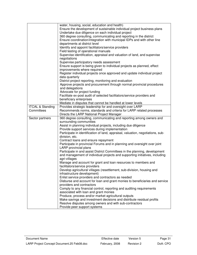|                             | water, housing, social, education and health)<br>Ensure the development of sustainable individual project business plans |
|-----------------------------|--------------------------------------------------------------------------------------------------------------------------|
|                             | Undertake due diligence on each individual project                                                                       |
|                             | 360 degree consulting, communicating and reporting in the district                                                       |
|                             | Ensure coordination/integration with municipal IDPs and with other line                                                  |
|                             | departments at district level                                                                                            |
|                             | Identify and appoint facilitators/service providers                                                                      |
|                             | Field testing of operational manuals                                                                                     |
|                             | Supervise identification, appraisal and valuation of land, and supervise                                                 |
|                             | negotiations                                                                                                             |
|                             | Supervise participatory needs assessment                                                                                 |
|                             | Ensure support is being given to individual projects as planned, effect                                                  |
|                             | improvements where required                                                                                              |
|                             | Register individual projects once approved and update individual project                                                 |
|                             | data quarterly                                                                                                           |
|                             | District project reporting, monitoring and evaluation                                                                    |
|                             | Approve projects and procurement through normal provincial procedures                                                    |
|                             | and delegations                                                                                                          |
|                             | Advocate for project funding                                                                                             |
|                             | Facilitate ex-post audit of selected facilitators/service providers and                                                  |
|                             | beneficiary enterprises                                                                                                  |
|                             | Mediate in disputes that cannot be handled at lower levels                                                               |
| <b>ITCAL &amp; Standing</b> | Provides strategic leadership for and oversight over LARP                                                                |
| Committees                  | Recommends norms, standards and criteria for LARP related processes                                                      |
|                             | Directs the LARP National Project Manager                                                                                |
| Sector partners             | 360 degree consulting, communicating and reporting among owners and                                                      |
|                             | surrounding communities                                                                                                  |
|                             | Assist in planning individual projects, including due diligence                                                          |
|                             | Provide support services during implementation                                                                           |
|                             | Participate in identification of land, appraisal, valuation, negotiations, sub-                                          |
|                             | division, etc.                                                                                                           |
|                             | Contract loans and ensure repayment                                                                                      |
|                             | Participate in provincial Forums and in planning and oversight over joint                                                |
|                             | LARP provincial plans                                                                                                    |
|                             | Participate in and assist District Committees in the planning, development                                               |
|                             | and management of individual projects and supporting initiatives, including                                              |
|                             |                                                                                                                          |
|                             | agri-villages                                                                                                            |
|                             | Manage and account for grant and loan resources to members and                                                           |
|                             | facilitators/service providers                                                                                           |
|                             | Develop agricultural villages (resettlement, sub-division, housing and                                                   |
|                             |                                                                                                                          |
|                             | infrastructure development)<br>Enlist service providers and contractors as needed                                        |
|                             | Disburse and account for loan and grant monies to beneficiaries and service                                              |
|                             | providers and contractors                                                                                                |
|                             | Comply to any financial control, reporting and auditing requirements                                                     |
|                             | associated with loan and grant monies                                                                                    |
|                             | Produce, process and/or market agricultural outputs                                                                      |
|                             | Make savings and investment decisions and distribute residual profits                                                    |
|                             | Resolve disputes among owners and with sub-contractors<br>Provide peer support systems                                   |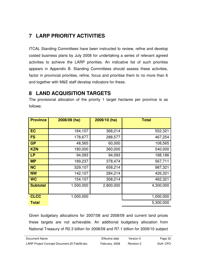# **7 LARP PRIORITY ACTIVITIES**

ITCAL Standing Committees have been instructed to review, refine and develop costed business plans by July 2008 for undertaking a series of relevant agreed activities to achieve the LARP priorities. An indicative list of such priorities appears in Appendix B. Standing Committees should assess these activities, factor in provincial priorities, refine, focus and prioritise them to no more than 6 and together with M&E staff develop indicators for these.

## **8 LAND ACQUISITION TARGETS**

The provisional allocation of the priority 1 target hectares per province is as follows:

| <b>Province</b> | 2008/09 (ha) | 2009/10 (ha) | <b>Total</b> |
|-----------------|--------------|--------------|--------------|
|                 |              |              |              |
| <b>EC</b>       | 184,107      | 368,214      | 552,321      |
| <b>FS</b>       | 178,677      | 288,577      | 467,254      |
| <b>GP</b>       | 48,565       | 60,000       | 108,565      |
| <b>KZN</b>      | 180,000      | 360,000      | 540,000      |
| <b>LP</b>       | 94,093       | 94,093       | 188,186      |
| <b>MP</b>       | 189,237      | 378,474      | 567,711      |
| <b>NC</b>       | 329,107      | 658,214      | 987,321      |
| <b>NW</b>       | 142,107      | 284,214      | 426,321      |
| <b>WC</b>       | 154,107      | 308,214      | 462,321      |
| <b>Subtotal</b> | 1,500,000    | 2,800,000    | 4,300,000    |
|                 |              |              |              |
| <b>CLCC</b>     | 1,000,000    |              | 1,000,000    |
| <b>Total</b>    |              |              | 5,300,000    |

Given budgetary allocations for 2007/08 and 2008/09 and current land prices these targets are not achievable. An additional budgetary allocation from National Treasury of R2.3 billion for 2008/09 and R7.1 billion for 2009/10 subject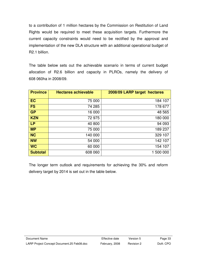to a contribution of 1 million hectares by the Commission on Restitution of Land Rights would be required to meet these acquisition targets. Furthermore the current capacity constraints would need to be rectified by the approval and implementation of the new DLA structure with an additional operational budget of R2.1 billion.

The table below sets out the achievable scenario in terms of current budget allocation of R2.6 billion and capacity in PLROs, namely the delivery of 608 060ha in 2008/09.

| <b>Province</b> | <b>Hectares achievable</b> | 2008/09 LARP target hectares |
|-----------------|----------------------------|------------------------------|
| <b>EC</b>       | 75 000                     | 184 107                      |
| <b>FS</b>       | 74 285                     | 178 677                      |
| <b>GP</b>       | 16 000                     | 48 565                       |
| <b>KZN</b>      | 72 975                     | 180 000                      |
| <b>LP</b>       | 40 800                     | 94 093                       |
| <b>MP</b>       | 75 000                     | 189 237                      |
| <b>NC</b>       | 140 000                    | 329 107                      |
| <b>NW</b>       | 54 000                     | 142 107                      |
| <b>WC</b>       | 60 000                     | 154 107                      |
| <b>Subtotal</b> | 608 060                    | 1 500 000                    |

The longer term outlook and requirements for achieving the 30% and reform delivery target by 2014 is set out in the table below.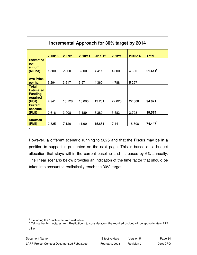| Incremental Approach for 30% target by 2014 |         |         |         |         |         |         |              |  |  |
|---------------------------------------------|---------|---------|---------|---------|---------|---------|--------------|--|--|
|                                             | 2008/09 | 2009/10 | 2010/11 | 2011/12 | 2012/13 | 2013/14 | <b>Total</b> |  |  |
| <b>Estimated</b><br>per                     |         |         |         |         |         |         |              |  |  |
| annum<br>(Mil ha)                           | 1.500   | 2.800   | 3.800   | 4.411   | 4.600   | 4.300   | $21.411^6$   |  |  |
| <b>Ave Price</b><br>per ha                  | 3 2 9 4 | 3617    | 3971    | 4 3 6 0 | 4788    | 5 2 5 7 |              |  |  |
| <b>Total</b><br><b>Estimated</b>            |         |         |         |         |         |         |              |  |  |
| <b>Funding</b><br>required<br>(Rbil)        | 4.941   | 10.128  | 15.090  | 19.231  | 22.025  | 22.606  | 94.021       |  |  |
| <b>Current</b><br>baseline<br>(Rbil)        | 2.616   | 3.008   | 3.189   | 3.380   | 3.583   | 3.798   | 19.574       |  |  |
| <b>Shortfall</b><br>(Rbil)                  | 2.325   | 7.120   | 11.901  | 15.851  | 7.441   | 18.808  | $74.447^7$   |  |  |

However, a different scenario running to 2025 and that the Fiscus may be in a position to support is presented on the next page. This is based on a budget allocation that stays within the current baseline and increases by 6% annually. The linear scenario below provides an indication of the time factor that should be taken into account to realistically reach the 30% target.

<sup>&</sup>lt;u>e</u><br>Excluding the 1 million ha from restitution

 $7$  Taking the 1m hectares from Restitution into consideration, the required budget will be approximately R72 billion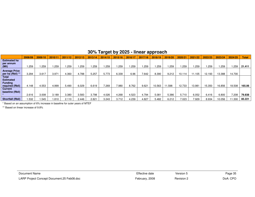|                                    | 2008/09 | 2009/10 | 2010/11 | 2011/12  | 2012/13 | 2013/14 | 2014/15 | 2015/16 | 2016/1 | 2017/18 | 2018/19 | 2019/20 | 2020/21 | 2021/22 | 2022/23 | 2023/24 | 2024/25 | <b>Total</b> |
|------------------------------------|---------|---------|---------|----------|---------|---------|---------|---------|--------|---------|---------|---------|---------|---------|---------|---------|---------|--------------|
| <b>Estimated ha</b>                |         |         |         |          |         |         |         |         |        |         |         |         |         |         |         |         |         |              |
| per annum<br>(Mil)                 | .259    | .259    | .259    | . 259، ، | .259    | 1.259   | . 259   | .259    | 1.259  | .259    | .259    | 1.259   | .259    | .259    | .259    | .259    | .259    | 21.411       |
| <b>Average Price</b>               |         |         |         |          |         |         |         |         |        |         |         |         |         |         |         |         |         |              |
| per ha (Rbil) **                   | 3.294   | 3.617   | 3.971   | 4.360    | 4.788   | 5.257   | 5.773   | 6.339   | 6.96   | 7.642   | 8.390   | 9.212   | 10.114  | 11.105  | 12.193  | 13.388  | 14.700  |              |
| Total                              |         |         |         |          |         |         |         |         |        |         |         |         |         |         |         |         |         |              |
| <b>Estimated</b><br><b>Funding</b> |         |         |         |          |         |         |         |         |        |         |         |         |         |         |         |         |         |              |
| required (Rbil)                    | 4.148   | 4.553   | 4.999   | 5.490    | 6.029   | 6.619   | 7.269   | 7.980   | 8.762  | 9.621   | 10.563  | 1.598   | 12.733  | 13.981  | 15.350  | 16.856  | 18.508  | 165.06       |
| Current<br>baseline (Rbil)         |         |         |         |          |         |         |         |         |        |         |         |         |         |         |         |         |         |              |
|                                    | 2.616   | 3.008   | 3.189   | 3.380    | 3.583   | 3.798   | 4.026   | 4.268   | 4.523  | 4.794   | 5.081   | 5.386   | 5.710   | 6.052   | 6.416   | 6.800   | 208     | 79.838       |
| <b>Shortfall (Rbil)</b>            | .532    | .545    | .810    | 2.110    | 2.446   | 2.821   | 3.243   | 3.712   | 4.239  | 4.827   | 5.482   | 6.212   | 7.023   | 7.929   | 8.934   | 10.056  | 1.300   | 85.221       |

## **30% Target by 2025 - linear approach**

\* Based on an assumption of 6% increase in baseline for outer years of MTEF

\*\* Based on linear increase of 9.8%

| Document Name                              | Effective date | Version 5  | Page 35  |
|--------------------------------------------|----------------|------------|----------|
| LARP Project Concept Document.25 Feb08.doc | February, 2008 | Revision 2 | DoA: CPO |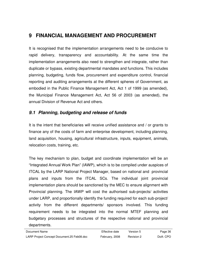# **9 FINANCIAL MANAGEMENT AND PROCUREMENT**

It is recognised that the implementation arrangements need to be conducive to rapid delivery, transparency and accountability. At the same time the implementation arrangements also need to strengthen and integrate, rather than duplicate or bypass, existing departmental mandates and functions. This includes planning, budgeting, funds flow, procurement and expenditure control, financial reporting and auditing arrangements at the different spheres of Government, as embodied in the Public Finance Management Act, Act 1 of 1999 (as amended), the Municipal Finance Management Act, Act 56 of 2003 (as amended), the annual Division of Revenue Act and others.

#### **9.1 Planning, budgeting and release of funds**

It is the intent that beneficiaries will receive unified assistance and / or grants to finance any of the costs of farm and enterprise development, including planning, land acquisition, housing, agricultural infrastructure, inputs, equipment, animals, relocation costs, training, etc.

The key mechanism to plan, budget and coordinate implementation will be an "Integrated Annual Work Plan" (IAWP), which is to be compiled under auspices of ITCAL by the LARP National Project Manager, based on national and provincial plans and inputs from the ITCAL SCs. The individual joint provincial implementation plans should be sanctioned by the MEC to ensure alignment with Provincial planning. The IAWP will cost the authorised sub-projects/ activities under LARP, and proportionally identify the funding required for each sub-project/ activity from the different departments/ sponsors involved. This funding requirement needs to be integrated into the normal MTEF planning and budgetary processes and structures of the respective national and provincial departments.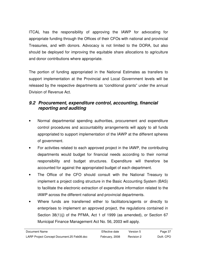ITCAL has the responsibility of approving the IAWP for advocating for appropriate funding through the Offices of their CFOs with national and provincial Treasuries, and with donors. Advocacy is not limited to the DORA, but also should be deployed for improving the equitable share allocations to agriculture and donor contributions where appropriate.

The portion of funding appropriated in the National Estimates as transfers to support implementation at the Provincial and Local Government levels will be released by the respective departments as "conditional grants" under the annual Division of Revenue Act.

#### **9.2 Procurement, expenditure control, accounting, financial reporting and auditing**

- Normal departmental spending authorities, procurement and expenditure control procedures and accountability arrangements will apply to all funds appropriated to support implementation of the IAWP at the different spheres of government.
- For activities related to each approved project in the IAWP, the contributing departments would budget for financial needs according to their normal responsibility and budget structures. Expenditure will therefore be accounted for against the appropriated budget of each department.
- The Office of the CFO should consult with the National Treasury to implement a project coding structure in the Basic Accounting System (BAS) to facilitate the electronic extraction of expenditure information related to the IAWP across the different national and provincial departments.
- Where funds are transferred either to facilitators/agents or directly to enterprises to implement an approved project, the regulations contained in Section 38(1)(j) of the PFMA, Act 1 of 1999 (as amended), or Section 67 Municipal Finance Management Act No. 56, 2003 will apply.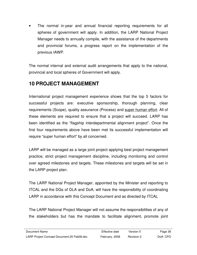• The normal in-year and annual financial reporting requirements for all spheres of government will apply. In addition, the LARP National Project Manager needs to annually compile, with the assistance of the departments and provincial forums, a progress report on the implementation of the previous IAWP.

The normal internal and external audit arrangements that apply to the national, provincial and local spheres of Government will apply.

## **10 PROJECT MANAGEMENT**

International project management experience shows that the top 5 factors for successful projects are: executive sponsorship, thorough planning, clear requirements (Scope), quality assurance (Process) and super human effort. All of these elements are required to ensure that a project will succeed. LARP has been identified as the "flagship interdepartmental alignment project". Once the first four requirements above have been met its successful implementation will require "super human effort" by all concerned.

LARP will be managed as a large joint project applying best project management practice, strict project management discipline, including monitoring and control over agreed milestones and targets. These milestones and targets will be set in the LARP project plan.

The LARP National Project Manager, appointed by the Minister and reporting to ITCAL and the DGs of DLA and DoA, will have the responsibility of coordinating LARP in accordance with this Concept Document and as directed by ITCAL

The LARP National Project Manager will not assume the responsibilities of any of the stakeholders but has the mandate to facilitate alignment, promote joint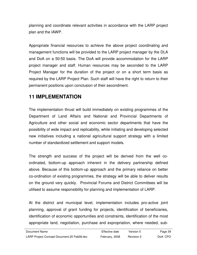planning and coordinate relevant activities in accordance with the LARP project plan and the IAWP.

Appropriate financial resources to achieve the above project coordinating and management functions will be provided to the LARP project manager by the DLA and DoA on a 50:50 basis. The DoA will provide accommodation for the LARP project manager and staff. Human resources may be seconded to the LARP Project Manager for the duration of the project or on a short term basis as required by the LARP Project Plan. Such staff will have the right to return to their permanent positions upon conclusion of their secondment.

## **11 IMPLEMENTATION**

The implementation thrust will build immediately on existing programmes of the Department of Land Affairs and National and Provincial Departments of Agriculture and other social and economic sector departments that have the possibility of wide impact and replicability, while initiating and developing selected new initiatives including a national agricultural support strategy with a limited number of standardized settlement and support models.

The strength and success of the project will be derived from the well coordinated, bottom-up approach inherent in the delivery partnership defined above. Because of this bottom-up approach and the primary reliance on better co-ordination of existing programmes, the strategy will be able to deliver results on the ground very quickly. Provincial Forums and District Committees will be utilised to assume responsibility for planning and implementation of LARP.

At the district and municipal level, implementation includes pro-active joint planning, approval of grant funding for projects, identification of beneficiaries, identification of economic opportunities and constraints, identification of the most appropriate land, negotiation, purchase and expropriation, where needed, sub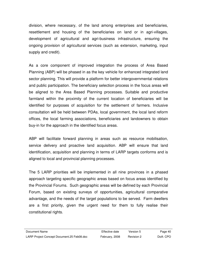division, where necessary, of the land among enterprises and beneficiaries, resettlement and housing of the beneficiaries on land or in agri-villages, development of agricultural and agri-business infrastructure, ensuring the ongoing provision of agricultural services (such as extension, marketing, input supply and credit).

As a core component of improved integration the process of Area Based Planning (ABP) will be phased in as the key vehicle for enhanced integrated land sector planning. This will provide a platform for better intergovernmental relations and public participation. The beneficiary selection process in the focus areas will be aligned to the Area Based Planning processes. Suitable and productive farmland within the proximity of the current location of beneficiaries will be identified for purposes of acquisition for the settlement of farmers. Inclusive consultation will be held between PDAs, local government, the local land reform offices, the local farming associations, beneficiaries and landowners to obtain buy-in for the approach in the identified focus areas.

ABP will facilitate forward planning in areas such as resource mobilisation, service delivery and proactive land acquisition. ABP will ensure that land identification, acquisition and planning in terms of LARP targets conforms and is aligned to local and provincial planning processes.

The 5 LARP priorities will be implemented in all nine provinces in a phased approach targeting specific geographic areas based on focus areas identified by the Provincial Forums. Such geographic areas will be defined by each Provincial Forum, based on existing surveys of opportunities, agricultural comparative advantage, and the needs of the target populations to be served. Farm dwellers are a first priority, given the urgent need for them to fully realise their constitutional rights.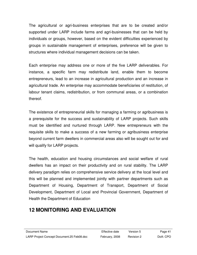The agricultural or agri-business enterprises that are to be created and/or supported under LARP include farms and agri-businesses that can be held by individuals or groups, however, based on the evident difficulties experienced by groups in sustainable management of enterprises, preference will be given to structures where individual management decisions can be taken.

Each enterprise may address one or more of the five LARP deliverables. For instance, a specific farm may redistribute land, enable them to become entrepreneurs, lead to an increase in agricultural production and an increase in agricultural trade. An enterprise may accommodate beneficiaries of restitution, of labour tenant claims, redistribution, or from communal areas, or a combination thereof.

The existence of entrepreneurial skills for managing a farming or agribusiness is a prerequisite for the success and sustainability of LARP projects. Such skills must be identified and nurtured through LARP. New entrepreneurs with the requisite skills to make a success of a new farming or agribusiness enterprise beyond current farm dwellers in commercial areas also will be sought out for and will qualify for LARP projects.

The health, education and housing circumstances and social welfare of rural dwellers has an impact on their productivity and on rural stability. The LARP delivery paradigm relies on comprehensive service delivery at the local level and this will be planned and implemented jointly with partner departments such as Department of Housing, Department of Transport, Department of Social Development, Department of Local and Provincial Government, Department of Health the Department of Education

# **12 MONITORING AND EVALUATION**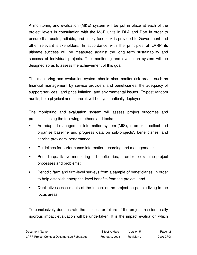A monitoring and evaluation (M&E) system will be put in place at each of the project levels in consultation with the M&E units in DLA and DoA in order to ensure that useful, reliable, and timely feedback is provided to Government and other relevant stakeholders. In accordance with the principles of LARP its ultimate success will be measured against the long term sustainability and success of individual projects. The monitoring and evaluation system will be designed so as to assess the achievement of this goal.

The monitoring and evaluation system should also monitor risk areas, such as financial management by service providers and beneficiaries, the adequacy of support services, land price inflation, and environmental issues. Ex-post random audits, both physical and financial, will be systematically deployed.

The monitoring and evaluation system will assess project outcomes and processes using the following methods and tools:

- An adapted management information system (MIS), in order to collect and organise baseline and progress data on sub-projects', beneficiaries' and service providers' performance;
- Guidelines for performance information recording and management;
- Periodic qualitative monitoring of beneficiaries, in order to examine project processes and problems;
- Periodic farm and firm-level surveys from a sample of beneficiaries, in order to help establish enterprise-level benefits from the project; and
- Qualitative assessments of the impact of the project on people living in the focus areas.

To conclusively demonstrate the success or failure of the project, a scientifically rigorous impact evaluation will be undertaken. It is the impact evaluation which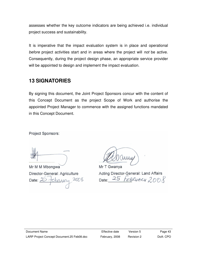assesses whether the key outcome indicators are being achieved i.e. individual project success and sustainability.

It is imperative that the impact evaluation system is in place and operational before project activities start and in areas where the project will not be active. Consequently, during the project design phase, an appropriate service provider will be appointed to design and implement the impact evaluation.

## **13 SIGNATORIES**

By signing this document, the Joint Project Sponsors concur with the content of this Concept Document as the project Scope of Work and authorise the appointed Project Manager to commence with the assigned functions mandated in this Concept Document.

**Project Sponsors:** 

Mr M M Mbongwa Director-General: Agriculture tebruary 2008 Date:  $25$ 

Mr T Gwanya Acting Director-General: Land Affairs Date: 25 FEBRUARY 2008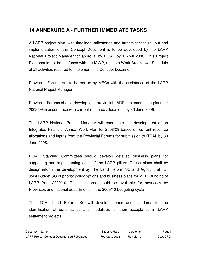# **14 ANNEXURE A - FURTHER IMMEDIATE TASKS**

A LARP project plan, with timelines, milestones and targets for the roll-out and implementation of this Concept Document is to be developed by the LARP National Project Manager for approval by ITCAL by 1 April 2008. This Project Plan should not be confused with the IAWP, and is a Work Breakdown Schedule of all activities required to implement this Concept Document.

Provincial Forums are to be set up by MECs with the assistance of the LARP National Project Manager.

Provincial Forums should develop joint provincial LARP implementation plans for 2008/09 in accordance with current resource allocations by 30 June 2008.

The LARP National Project Manager will coordinate the development of an Integrated Financial Annual Work Plan for 2008/09 based on current resource allocations and inputs from the Provincial Forums for submission to ITCAL by 30 June 2008.

ITCAL Standing Committees should develop detailed business plans for supporting and implementing each of the LARP pillars. These plans shall by design inform the development by The Land Reform SC and Agricultural 4x4 Joint Budget SC of priority policy options and business plans for MTEF funding of LARP from 2009/10. These options should be available for advocacy by Provinces and national departments in the 2009/10 budgeting cycle

The ITCAL Land Reform SC will develop norms and standards for the identification of beneficiaries and modalities for their acceptance in LARP settlement projects.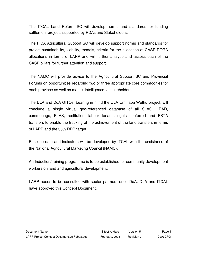The ITCAL Land Reform SC will develop norms and standards for funding settlement projects supported by PDAs and Stakeholders.

The ITCA Agricultural Support SC will develop support norms and standards for project sustainability, viability, models, criteria for the allocation of CASP DORA allocations in terms of LARP and will further analyse and assess each of the CASP pillars for further attention and support.

The NAMC will provide advice to the Agricultural Support SC and Provincial Forums on opportunities regarding two or three appropriate core commodities for each province as well as market intelligence to stakeholders.

The DLA and DoA GITOs, bearing in mind the DLA Umhlaba Wethu project, will conclude a single virtual geo-referenced database of all SLAG, LRAD, commonage, PLAS, restitution, labour tenants rights conferred and ESTA transfers to enable the tracking of the achievement of the land transfers in terms of LARP and the 30% RDP target.

Baseline data and indicators will be developed by ITCAL with the assistance of the National Agricultural Marketing Council (NAMC).

An Induction/training programme is to be established for community development workers on land and agricultural development.

LARP needs to be consulted with sector partners once DoA, DLA and ITCAL have approved this Concept Document.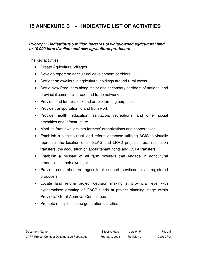# **15 ANNEXURE B - INDICATIVE LIST OF ACTIVITIES**

#### **Priority 1: Redistribute 5 million hectares of white-owned agricultural land to 10 000 farm dwellers and new agricultural producers**

The key activities:

- Create Agricultural Villages
- Develop report on agricultural development corridors
- Settle farm dwellers in agricultural holdings around rural towns
- Settle New Producers along major and secondary corridors of national and provincial commercial road and trade networks
- Provide land for livestock and arable farming purposes
- Provide transportation to and from work
- Provide health, education, sanitation, recreational and other social amenities and infrastructure
- Mobilise farm dwellers into farmers' organizations and cooperatives
- Establish a single virtual land reform database utilising AGIS to visually represent the location of all SLAG and LRAD projects, rural restitution transfers, the acquisition of labour tenant rights and ESTA transfers.
- Establish a register of all farm dwellers that engage in agricultural production in their own right
- Provide comprehensive agricultural support services to all registered producers
- Locate land reform project decision making at provincial level with synchronised granting of CASP funds at project planning stage within Provincial Grant Approval Committees
- Promote multiple income generation activities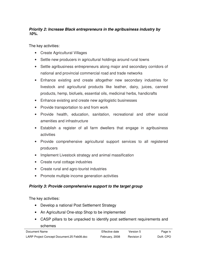#### **Priority 2: Increase Black entrepreneurs in the agribusiness industry by 10%.**

The key activities:

- Create Agricultural Villages
- Settle new producers in agricultural holdings around rural towns
- Settle agribusiness entrepreneurs along major and secondary corridors of national and provincial commercial road and trade networks
- Enhance existing and create altogether new secondary industries for livestock and agricultural products like leather, dairy, juices, canned products, hemp, biofuels, essential oils, medicinal herbs, handicrafts
- Enhance existing and create new agrilogistic businesses
- Provide transportation to and from work
- Provide health, education, sanitation, recreational and other social amenities and infrastructure
- Establish a register of all farm dwellers that engage in agribusiness activities
- Provide comprehensive agricultural support services to all registered producers
- Implement Livestock strategy and animal massification
- Create rural cottage industries
- Create rural and agro-tourist industries
- Promote multiple income generation activities

#### **Priority 3: Provide comprehensive support to the target group**

The key activities:

- Develop a national Post Settlement Strategy
- An Agricultural One-stop Shop to be implemented
- CASP pillars to be unpacked to identify post settlement requirements and schemes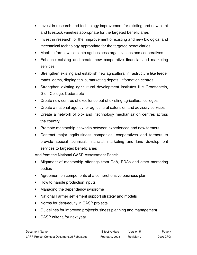- Invest in research and technology improvement for existing and new plant and livestock varieties appropriate for the targeted beneficiaries
- Invest in research for the improvement of existing and new biological and mechanical technology appropriate for the targeted beneficiaries
- Mobilise farm dwellers into agribusiness organizations and cooperatives
- Enhance existing and create new cooperative financial and marketing services
- Strengthen existing and establish new agricultural infrastructure like feeder roads, dams, dipping tanks, marketing depots, information centres
- Strengthen existing agricultural development institutes like Grootfontein, Glen College, Cedara etc
- Create new centres of excellence out of existing agricultural colleges
- Create a national agency for agricultural extension and advisory services
- Create a network of bio- and technology mechanisation centres across the country
- Promote mentorship networks between experienced and new farmers
- Contract major agribusiness companies, cooperatives and farmers to provide special technical, financial, marketing and land development services to targeted beneficiaries

And from the National CASP Assessment Panel:

- Alignment of mentorship offerings from DoA, PDAs and other mentoring bodies
- Agreement on components of a comprehensive business plan
- How to handle production inputs
- Managing the dependency syndrome
- National Farmer settlement support strategy and models
- Norms for debt/equity in CASP projects
- Guidelines for improved project/business planning and management
- CASP criteria for next year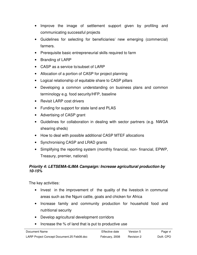- Improve the image of settlement support given by profiling and communicating successful projects
- Guidelines for selecting for beneficiaries/ new emerging (commercial) farmers.
- Prerequisite basic entrepreneurial skills required to farm
- Branding of LARP
- CASP as a service to/subset of LARP
- Allocation of a portion of CASP for project planning
- Logical relationship of equitable share to CASP pillars
- Developing a common understanding on business plans and common terminology e.g. food security/HFP, baseline
- Revisit LARP cost drivers
- Funding for support for state land and PLAS
- Advertising of CASP grant
- Guidelines for collaboration in dealing with sector partners (e.g. NWGA shearing sheds)
- How to deal with possible additional CASP MTEF allocations
- Synchronising CASP and LRAD grants
- Simplifying the reporting system (monthly financial, non- financial, EPWP, Treasury, premier, national)

#### **Priority 4: LETSEMA-ILIMA Campaign: Increase agricultural production by 10-15%**

The key activities:

- Invest in the improvement of the quality of the livestock in communal areas such as the Nguni cattle, goats and chicken for Africa
- Increase family and community production for household food and nutritional security
- Develop agricultural development corridors
- Increase the % of land that is put to productive use